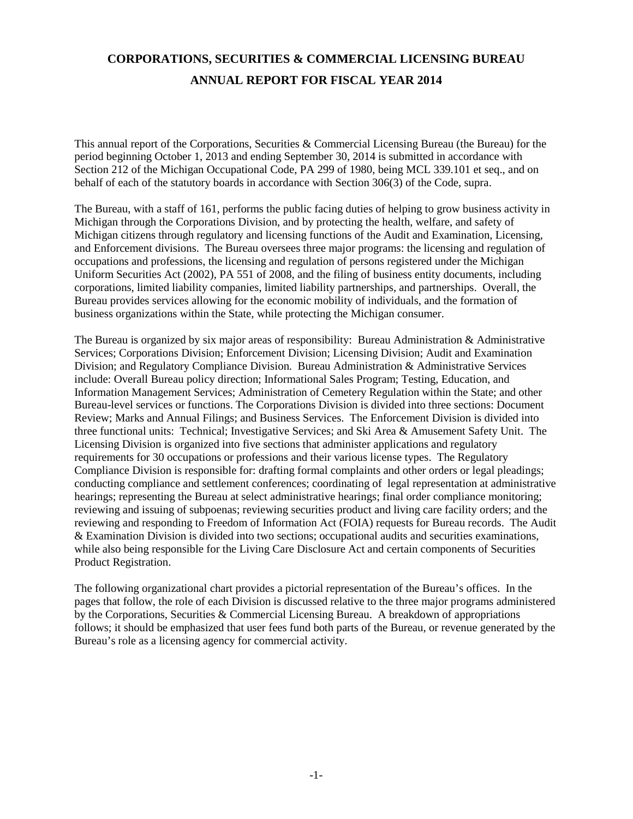# **CORPORATIONS, SECURITIES & COMMERCIAL LICENSING BUREAU ANNUAL REPORT FOR FISCAL YEAR 2014**

This annual report of the Corporations, Securities & Commercial Licensing Bureau (the Bureau) for the period beginning October 1, 2013 and ending September 30, 2014 is submitted in accordance with Section 212 of the Michigan Occupational Code, PA 299 of 1980, being MCL 339.101 et seq., and on behalf of each of the statutory boards in accordance with Section 306(3) of the Code, supra.

The Bureau, with a staff of 161, performs the public facing duties of helping to grow business activity in Michigan through the Corporations Division, and by protecting the health, welfare, and safety of Michigan citizens through regulatory and licensing functions of the Audit and Examination, Licensing, and Enforcement divisions. The Bureau oversees three major programs: the licensing and regulation of occupations and professions, the licensing and regulation of persons registered under the Michigan Uniform Securities Act (2002), PA 551 of 2008, and the filing of business entity documents, including corporations, limited liability companies, limited liability partnerships, and partnerships. Overall, the Bureau provides services allowing for the economic mobility of individuals, and the formation of business organizations within the State, while protecting the Michigan consumer.

The Bureau is organized by six major areas of responsibility: Bureau Administration & Administrative Services; Corporations Division; Enforcement Division; Licensing Division; Audit and Examination Division; and Regulatory Compliance Division. Bureau Administration & Administrative Services include: Overall Bureau policy direction; Informational Sales Program; Testing, Education, and Information Management Services; Administration of Cemetery Regulation within the State; and other Bureau-level services or functions. The Corporations Division is divided into three sections: Document Review; Marks and Annual Filings; and Business Services. The Enforcement Division is divided into three functional units: Technical; Investigative Services; and Ski Area & Amusement Safety Unit. The Licensing Division is organized into five sections that administer applications and regulatory requirements for 30 occupations or professions and their various license types. The Regulatory Compliance Division is responsible for: drafting formal complaints and other orders or legal pleadings; conducting compliance and settlement conferences; coordinating of legal representation at administrative hearings; representing the Bureau at select administrative hearings; final order compliance monitoring; reviewing and issuing of subpoenas; reviewing securities product and living care facility orders; and the reviewing and responding to Freedom of Information Act (FOIA) requests for Bureau records. The Audit & Examination Division is divided into two sections; occupational audits and securities examinations, while also being responsible for the Living Care Disclosure Act and certain components of Securities Product Registration.

The following organizational chart provides a pictorial representation of the Bureau's offices. In the pages that follow, the role of each Division is discussed relative to the three major programs administered by the Corporations, Securities & Commercial Licensing Bureau. A breakdown of appropriations follows; it should be emphasized that user fees fund both parts of the Bureau, or revenue generated by the Bureau's role as a licensing agency for commercial activity.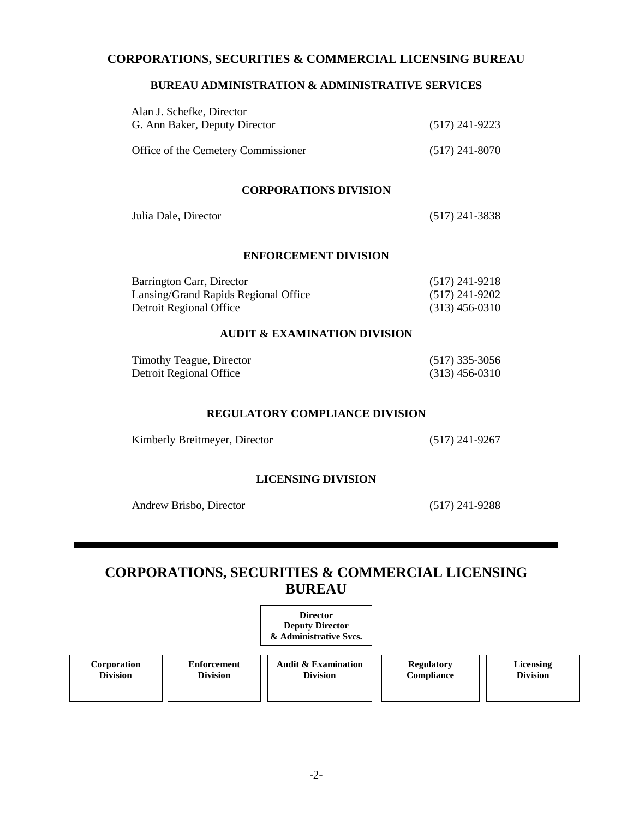#### **CORPORATIONS, SECURITIES & COMMERCIAL LICENSING BUREAU**

#### **BUREAU ADMINISTRATION & ADMINISTRATIVE SERVICES**

| Alan J. Schefke, Director<br>G. Ann Baker, Deputy Director | $(517)$ 241-9223 |
|------------------------------------------------------------|------------------|
| Office of the Cemetery Commissioner                        | $(517)$ 241-8070 |

#### **CORPORATIONS DIVISION**

| Julia Dale, Director | $(517)$ 241-3838 |
|----------------------|------------------|
|----------------------|------------------|

#### **ENFORCEMENT DIVISION**

| Barrington Carr, Director            | $(517)$ 241-9218 |
|--------------------------------------|------------------|
| Lansing/Grand Rapids Regional Office | $(517)$ 241-9202 |
| Detroit Regional Office              | $(313)$ 456-0310 |

#### **AUDIT & EXAMINATION DIVISION**

| Timothy Teague, Director | $(517)$ 335-3056 |
|--------------------------|------------------|
| Detroit Regional Office  | $(313)$ 456-0310 |

#### **REGULATORY COMPLIANCE DIVISION**

Kimberly Breitmeyer, Director (517) 241-9267

#### **LICENSING DIVISION**

Andrew Brisbo, Director (517) 241-9288

# **CORPORATIONS, SECURITIES & COMMERCIAL LICENSING BUREAU**

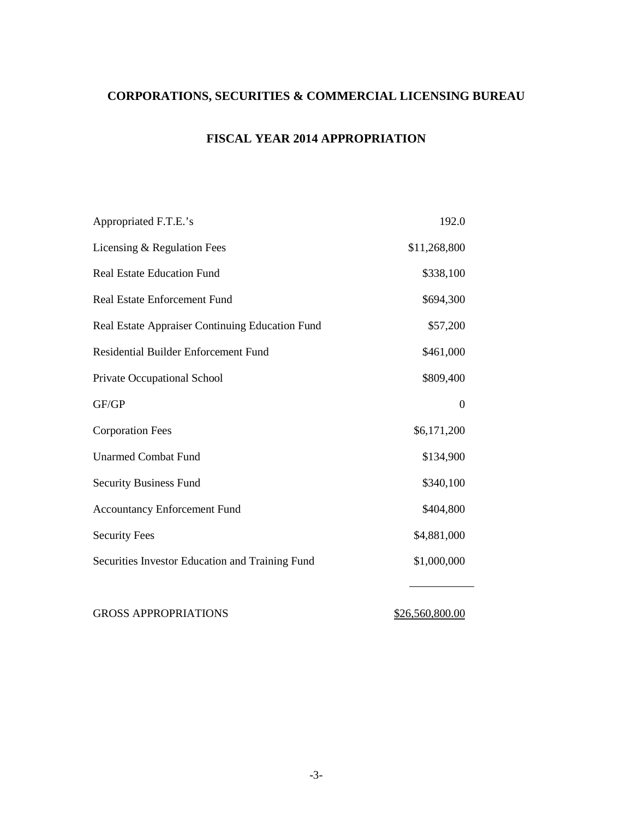# **CORPORATIONS, SECURITIES & COMMERCIAL LICENSING BUREAU**

## **FISCAL YEAR 2014 APPROPRIATION**

| Appropriated F.T.E.'s                           | 192.0        |
|-------------------------------------------------|--------------|
| Licensing & Regulation Fees                     | \$11,268,800 |
| <b>Real Estate Education Fund</b>               | \$338,100    |
| <b>Real Estate Enforcement Fund</b>             | \$694,300    |
| Real Estate Appraiser Continuing Education Fund | \$57,200     |
| Residential Builder Enforcement Fund            | \$461,000    |
| Private Occupational School                     | \$809,400    |
| GF/GP                                           | $\theta$     |
| <b>Corporation Fees</b>                         | \$6,171,200  |
| <b>Unarmed Combat Fund</b>                      | \$134,900    |
| <b>Security Business Fund</b>                   | \$340,100    |
| <b>Accountancy Enforcement Fund</b>             | \$404,800    |
| <b>Security Fees</b>                            | \$4,881,000  |
| Securities Investor Education and Training Fund | \$1,000,000  |
|                                                 |              |

GROSS APPROPRIATIONS \$26,560,800.00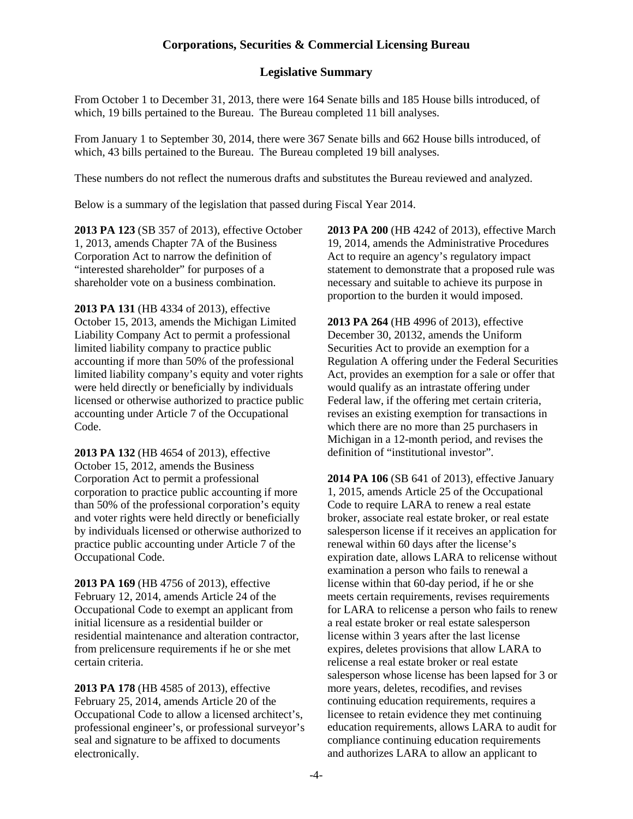#### **Legislative Summary**

From October 1 to December 31, 2013, there were 164 Senate bills and 185 House bills introduced, of which, 19 bills pertained to the Bureau. The Bureau completed 11 bill analyses.

From January 1 to September 30, 2014, there were 367 Senate bills and 662 House bills introduced, of which, 43 bills pertained to the Bureau. The Bureau completed 19 bill analyses.

These numbers do not reflect the numerous drafts and substitutes the Bureau reviewed and analyzed.

Below is a summary of the legislation that passed during Fiscal Year 2014.

**2013 PA 123** (SB 357 of 2013), effective October 1, 2013, amends Chapter 7A of the Business Corporation Act to narrow the definition of "interested shareholder" for purposes of a shareholder vote on a business combination.

**2013 PA 131** (HB 4334 of 2013), effective October 15, 2013, amends the Michigan Limited Liability Company Act to permit a professional limited liability company to practice public accounting if more than 50% of the professional limited liability company's equity and voter rights were held directly or beneficially by individuals licensed or otherwise authorized to practice public accounting under Article 7 of the Occupational Code.

**2013 PA 132** (HB 4654 of 2013), effective October 15, 2012, amends the Business Corporation Act to permit a professional corporation to practice public accounting if more than 50% of the professional corporation's equity and voter rights were held directly or beneficially by individuals licensed or otherwise authorized to practice public accounting under Article 7 of the Occupational Code.

**2013 PA 169** (HB 4756 of 2013), effective February 12, 2014, amends Article 24 of the Occupational Code to exempt an applicant from initial licensure as a residential builder or residential maintenance and alteration contractor, from prelicensure requirements if he or she met certain criteria.

**2013 PA 178** (HB 4585 of 2013), effective February 25, 2014, amends Article 20 of the Occupational Code to allow a licensed architect's, professional engineer's, or professional surveyor's seal and signature to be affixed to documents electronically.

**2013 PA 200** (HB 4242 of 2013), effective March 19, 2014, amends the Administrative Procedures Act to require an agency's regulatory impact statement to demonstrate that a proposed rule was necessary and suitable to achieve its purpose in proportion to the burden it would imposed.

**2013 PA 264** (HB 4996 of 2013), effective December 30, 20132, amends the Uniform Securities Act to provide an exemption for a Regulation A offering under the Federal Securities Act, provides an exemption for a sale or offer that would qualify as an intrastate offering under Federal law, if the offering met certain criteria, revises an existing exemption for transactions in which there are no more than 25 purchasers in Michigan in a 12-month period, and revises the definition of "institutional investor".

**2014 PA 106** (SB 641 of 2013), effective January 1, 2015, amends Article 25 of the Occupational Code to require LARA to renew a real estate broker, associate real estate broker, or real estate salesperson license if it receives an application for renewal within 60 days after the license's expiration date, allows LARA to relicense without examination a person who fails to renewal a license within that 60-day period, if he or she meets certain requirements, revises requirements for LARA to relicense a person who fails to renew a real estate broker or real estate salesperson license within 3 years after the last license expires, deletes provisions that allow LARA to relicense a real estate broker or real estate salesperson whose license has been lapsed for 3 or more years, deletes, recodifies, and revises continuing education requirements, requires a licensee to retain evidence they met continuing education requirements, allows LARA to audit for compliance continuing education requirements and authorizes LARA to allow an applicant to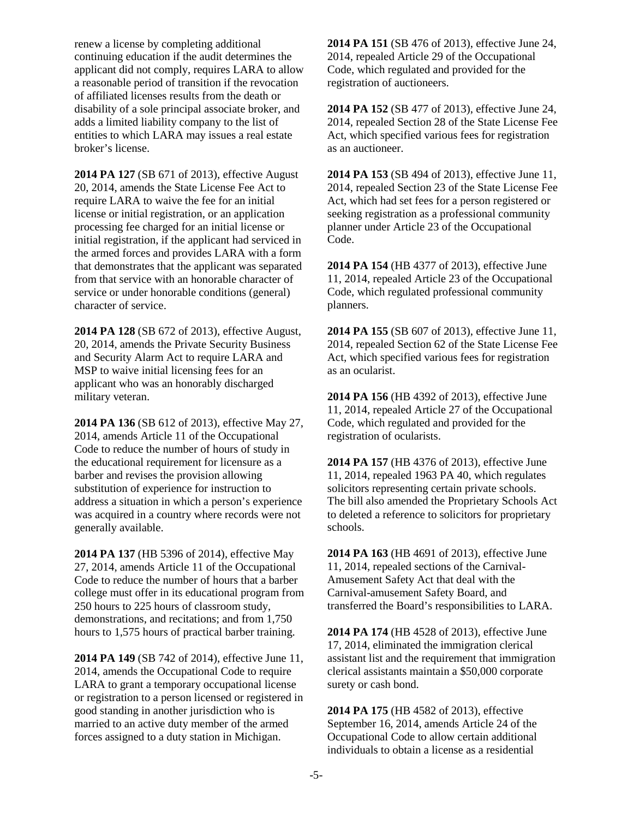renew a license by completing additional continuing education if the audit determines the applicant did not comply, requires LARA to allow a reasonable period of transition if the revocation of affiliated licenses results from the death or disability of a sole principal associate broker, and adds a limited liability company to the list of entities to which LARA may issues a real estate broker's license.

**2014 PA 127** (SB 671 of 2013), effective August 20, 2014, amends the State License Fee Act to require LARA to waive the fee for an initial license or initial registration, or an application processing fee charged for an initial license or initial registration, if the applicant had serviced in the armed forces and provides LARA with a form that demonstrates that the applicant was separated from that service with an honorable character of service or under honorable conditions (general) character of service.

**2014 PA 128** (SB 672 of 2013), effective August, 20, 2014, amends the Private Security Business and Security Alarm Act to require LARA and MSP to waive initial licensing fees for an applicant who was an honorably discharged military veteran.

**2014 PA 136** (SB 612 of 2013), effective May 27, 2014, amends Article 11 of the Occupational Code to reduce the number of hours of study in the educational requirement for licensure as a barber and revises the provision allowing substitution of experience for instruction to address a situation in which a person's experience was acquired in a country where records were not generally available.

**2014 PA 137** (HB 5396 of 2014), effective May 27, 2014, amends Article 11 of the Occupational Code to reduce the number of hours that a barber college must offer in its educational program from 250 hours to 225 hours of classroom study, demonstrations, and recitations; and from 1,750 hours to 1,575 hours of practical barber training.

**2014 PA 149** (SB 742 of 2014), effective June 11, 2014, amends the Occupational Code to require LARA to grant a temporary occupational license or registration to a person licensed or registered in good standing in another jurisdiction who is married to an active duty member of the armed forces assigned to a duty station in Michigan.

**2014 PA 151** (SB 476 of 2013), effective June 24, 2014, repealed Article 29 of the Occupational Code, which regulated and provided for the registration of auctioneers.

**2014 PA 152** (SB 477 of 2013), effective June 24, 2014, repealed Section 28 of the State License Fee Act, which specified various fees for registration as an auctioneer.

**2014 PA 153** (SB 494 of 2013), effective June 11, 2014, repealed Section 23 of the State License Fee Act, which had set fees for a person registered or seeking registration as a professional community planner under Article 23 of the Occupational Code.

**2014 PA 154** (HB 4377 of 2013), effective June 11, 2014, repealed Article 23 of the Occupational Code, which regulated professional community planners.

**2014 PA 155** (SB 607 of 2013), effective June 11, 2014, repealed Section 62 of the State License Fee Act, which specified various fees for registration as an ocularist.

**2014 PA 156** (HB 4392 of 2013), effective June 11, 2014, repealed Article 27 of the Occupational Code, which regulated and provided for the registration of ocularists.

**2014 PA 157** (HB 4376 of 2013), effective June 11, 2014, repealed 1963 PA 40, which regulates solicitors representing certain private schools. The bill also amended the Proprietary Schools Act to deleted a reference to solicitors for proprietary schools.

**2014 PA 163** (HB 4691 of 2013), effective June 11, 2014, repealed sections of the Carnival-Amusement Safety Act that deal with the Carnival-amusement Safety Board, and transferred the Board's responsibilities to LARA.

**2014 PA 174** (HB 4528 of 2013), effective June 17, 2014, eliminated the immigration clerical assistant list and the requirement that immigration clerical assistants maintain a \$50,000 corporate surety or cash bond.

**2014 PA 175** (HB 4582 of 2013), effective September 16, 2014, amends Article 24 of the Occupational Code to allow certain additional individuals to obtain a license as a residential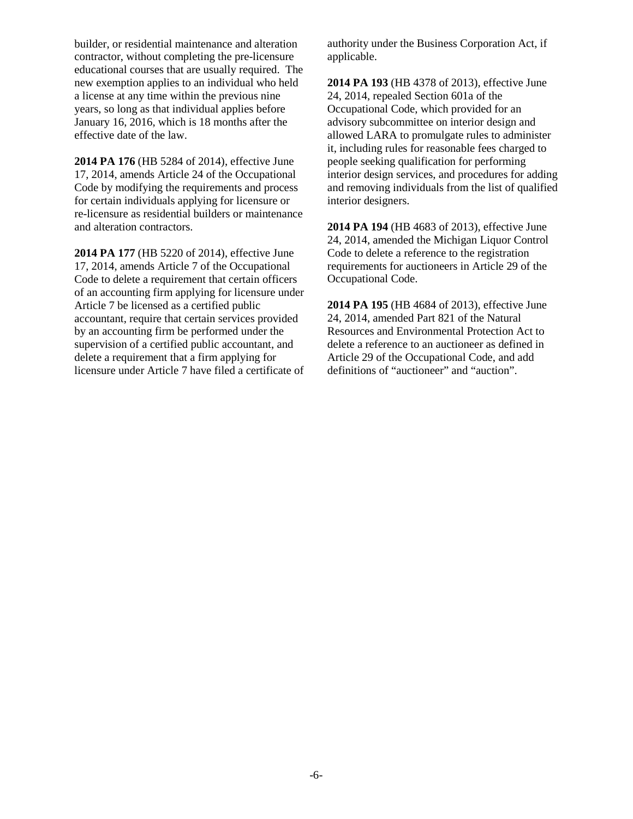builder, or residential maintenance and alteration contractor, without completing the pre-licensure educational courses that are usually required. The new exemption applies to an individual who held a license at any time within the previous nine years, so long as that individual applies before January 16, 2016, which is 18 months after the effective date of the law.

**2014 PA 176** (HB 5284 of 2014), effective June 17, 2014, amends Article 24 of the Occupational Code by modifying the requirements and process for certain individuals applying for licensure or re-licensure as residential builders or maintenance and alteration contractors.

**2014 PA 177** (HB 5220 of 2014), effective June 17, 2014, amends Article 7 of the Occupational Code to delete a requirement that certain officers of an accounting firm applying for licensure under Article 7 be licensed as a certified public accountant, require that certain services provided by an accounting firm be performed under the supervision of a certified public accountant, and delete a requirement that a firm applying for licensure under Article 7 have filed a certificate of authority under the Business Corporation Act, if applicable.

**2014 PA 193** (HB 4378 of 2013), effective June 24, 2014, repealed Section 601a of the Occupational Code, which provided for an advisory subcommittee on interior design and allowed LARA to promulgate rules to administer it, including rules for reasonable fees charged to people seeking qualification for performing interior design services, and procedures for adding and removing individuals from the list of qualified interior designers.

**2014 PA 194** (HB 4683 of 2013), effective June 24, 2014, amended the Michigan Liquor Control Code to delete a reference to the registration requirements for auctioneers in Article 29 of the Occupational Code.

**2014 PA 195** (HB 4684 of 2013), effective June 24, 2014, amended Part 821 of the Natural Resources and Environmental Protection Act to delete a reference to an auctioneer as defined in Article 29 of the Occupational Code, and add definitions of "auctioneer" and "auction".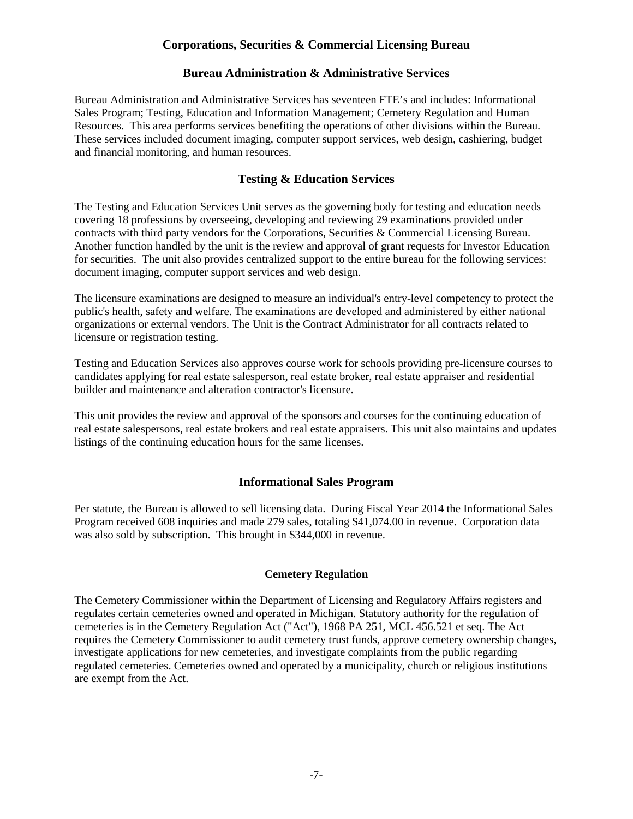#### **Bureau Administration & Administrative Services**

Bureau Administration and Administrative Services has seventeen FTE's and includes: Informational Sales Program; Testing, Education and Information Management; Cemetery Regulation and Human Resources. This area performs services benefiting the operations of other divisions within the Bureau. These services included document imaging, computer support services, web design, cashiering, budget and financial monitoring, and human resources.

#### **Testing & Education Services**

The Testing and Education Services Unit serves as the governing body for testing and education needs covering 18 professions by overseeing, developing and reviewing 29 examinations provided under contracts with third party vendors for the Corporations, Securities & Commercial Licensing Bureau. Another function handled by the unit is the review and approval of grant requests for Investor Education for securities. The unit also provides centralized support to the entire bureau for the following services: document imaging, computer support services and web design.

The licensure examinations are designed to measure an individual's entry-level competency to protect the public's health, safety and welfare. The examinations are developed and administered by either national organizations or external vendors. The Unit is the Contract Administrator for all contracts related to licensure or registration testing.

Testing and Education Services also approves course work for schools providing pre-licensure courses to candidates applying for real estate salesperson, real estate broker, real estate appraiser and residential builder and maintenance and alteration contractor's licensure.

This unit provides the review and approval of the sponsors and courses for the continuing education of real estate salespersons, real estate brokers and real estate appraisers. This unit also maintains and updates listings of the continuing education hours for the same licenses.

#### **Informational Sales Program**

Per statute, the Bureau is allowed to sell licensing data. During Fiscal Year 2014 the Informational Sales Program received 608 inquiries and made 279 sales, totaling \$41,074.00 in revenue. Corporation data was also sold by subscription. This brought in \$344,000 in revenue.

#### **Cemetery Regulation**

The Cemetery Commissioner within the Department of Licensing and Regulatory Affairs registers and regulates certain cemeteries owned and operated in Michigan. Statutory authority for the regulation of cemeteries is in the Cemetery Regulation Act ("Act"), 1968 PA 251, MCL 456.521 et seq. The Act requires the Cemetery Commissioner to audit cemetery trust funds, approve cemetery ownership changes, investigate applications for new cemeteries, and investigate complaints from the public regarding regulated cemeteries. Cemeteries owned and operated by a municipality, church or religious institutions are exempt from the Act.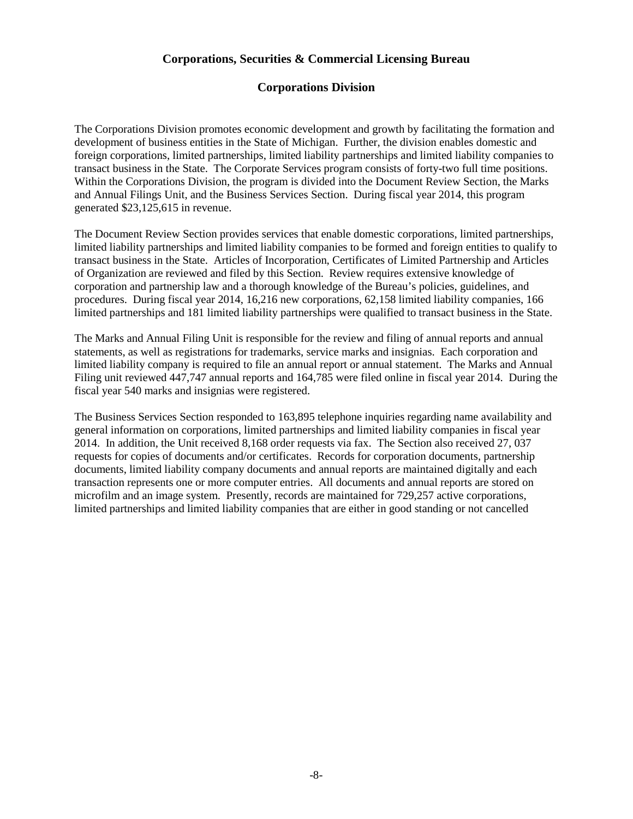#### **Corporations Division**

The Corporations Division promotes economic development and growth by facilitating the formation and development of business entities in the State of Michigan. Further, the division enables domestic and foreign corporations, limited partnerships, limited liability partnerships and limited liability companies to transact business in the State. The Corporate Services program consists of forty-two full time positions. Within the Corporations Division, the program is divided into the Document Review Section, the Marks and Annual Filings Unit, and the Business Services Section. During fiscal year 2014, this program generated \$23,125,615 in revenue.

The Document Review Section provides services that enable domestic corporations, limited partnerships, limited liability partnerships and limited liability companies to be formed and foreign entities to qualify to transact business in the State. Articles of Incorporation, Certificates of Limited Partnership and Articles of Organization are reviewed and filed by this Section. Review requires extensive knowledge of corporation and partnership law and a thorough knowledge of the Bureau's policies, guidelines, and procedures. During fiscal year 2014, 16,216 new corporations, 62,158 limited liability companies, 166 limited partnerships and 181 limited liability partnerships were qualified to transact business in the State.

The Marks and Annual Filing Unit is responsible for the review and filing of annual reports and annual statements, as well as registrations for trademarks, service marks and insignias. Each corporation and limited liability company is required to file an annual report or annual statement. The Marks and Annual Filing unit reviewed 447,747 annual reports and 164,785 were filed online in fiscal year 2014. During the fiscal year 540 marks and insignias were registered.

The Business Services Section responded to 163,895 telephone inquiries regarding name availability and general information on corporations, limited partnerships and limited liability companies in fiscal year 2014. In addition, the Unit received 8,168 order requests via fax. The Section also received 27, 037 requests for copies of documents and/or certificates. Records for corporation documents, partnership documents, limited liability company documents and annual reports are maintained digitally and each transaction represents one or more computer entries. All documents and annual reports are stored on microfilm and an image system. Presently, records are maintained for 729,257 active corporations, limited partnerships and limited liability companies that are either in good standing or not cancelled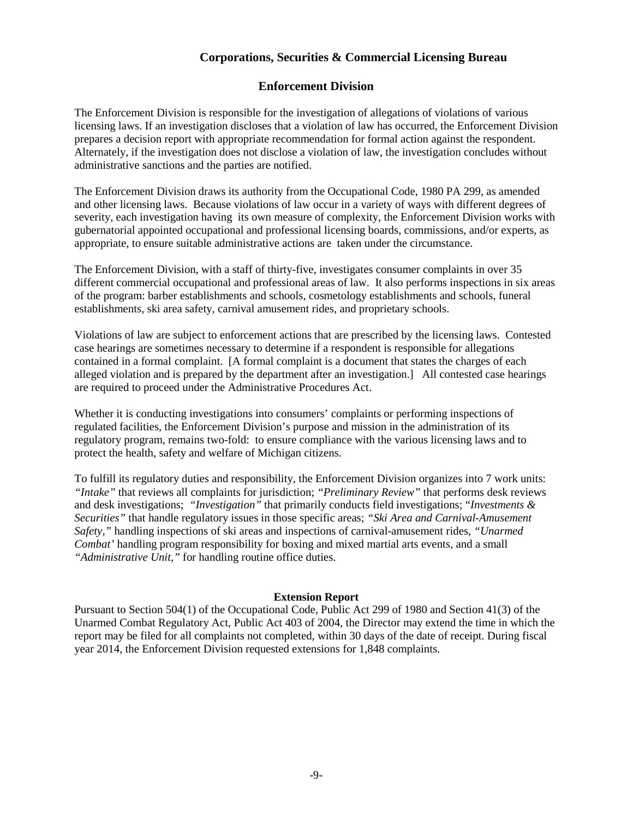#### **Enforcement Division**

The Enforcement Division is responsible for the investigation of allegations of violations of various licensing laws. If an investigation discloses that a violation of law has occurred, the Enforcement Division prepares a decision report with appropriate recommendation for formal action against the respondent. Alternately, if the investigation does not disclose a violation of law, the investigation concludes without administrative sanctions and the parties are notified.

The Enforcement Division draws its authority from the Occupational Code, 1980 PA 299, as amended and other licensing laws. Because violations of law occur in a variety of ways with different degrees of severity, each investigation having its own measure of complexity, the Enforcement Division works with gubernatorial appointed occupational and professional licensing boards, commissions, and/or experts, as appropriate, to ensure suitable administrative actions are taken under the circumstance.

The Enforcement Division, with a staff of thirty-five, investigates consumer complaints in over 35 different commercial occupational and professional areas of law. It also performs inspections in six areas of the program: barber establishments and schools, cosmetology establishments and schools, funeral establishments, ski area safety, carnival amusement rides, and proprietary schools.

Violations of law are subject to enforcement actions that are prescribed by the licensing laws. Contested case hearings are sometimes necessary to determine if a respondent is responsible for allegations contained in a formal complaint. [A formal complaint is a document that states the charges of each alleged violation and is prepared by the department after an investigation.] All contested case hearings are required to proceed under the Administrative Procedures Act.

Whether it is conducting investigations into consumers' complaints or performing inspections of regulated facilities, the Enforcement Division's purpose and mission in the administration of its regulatory program, remains two-fold: to ensure compliance with the various licensing laws and to protect the health, safety and welfare of Michigan citizens.

To fulfill its regulatory duties and responsibility, the Enforcement Division organizes into 7 work units: *"Intake"* that reviews all complaints for jurisdiction; *"Preliminary Review"* that performs desk reviews and desk investigations; *"Investigation"* that primarily conducts field investigations; "*Investments & Securities"* that handle regulatory issues in those specific areas; *"Ski Area and Carnival-Amusement Safety,"* handling inspections of ski areas and inspections of carnival-amusement rides, *"Unarmed Combat'* handling program responsibility for boxing and mixed martial arts events, and a small *"Administrative Unit,"* for handling routine office duties.

#### **Extension Report**

Pursuant to Section 504(1) of the Occupational Code, Public Act 299 of 1980 and Section 41(3) of the Unarmed Combat Regulatory Act, Public Act 403 of 2004, the Director may extend the time in which the report may be filed for all complaints not completed, within 30 days of the date of receipt. During fiscal year 2014, the Enforcement Division requested extensions for 1,848 complaints.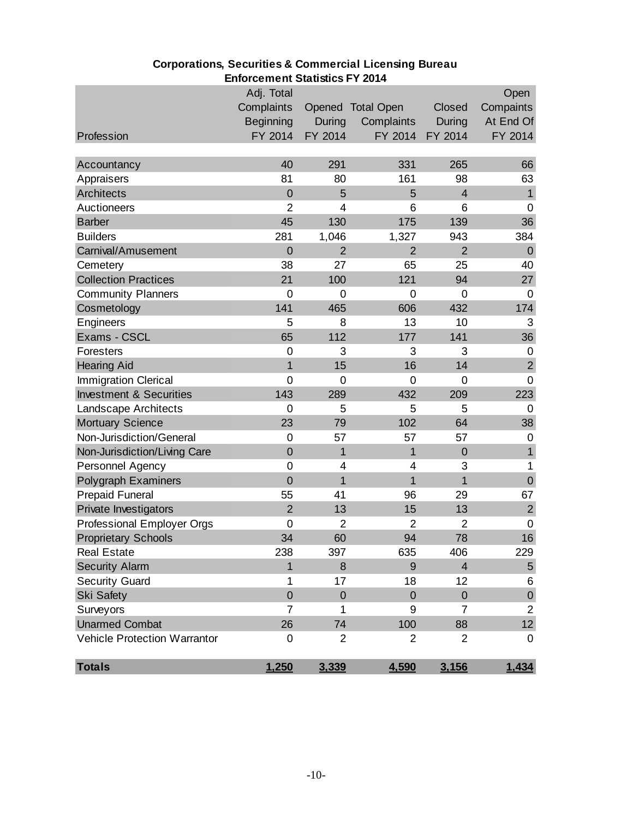|                                     | בוווטונטוווטווו טנפנואווט דו צעור |                  |                   |                |                |
|-------------------------------------|-----------------------------------|------------------|-------------------|----------------|----------------|
|                                     | Adj. Total                        |                  |                   |                | Open           |
|                                     | Complaints                        |                  | Opened Total Open | Closed         | Compaints      |
|                                     | <b>Beginning</b>                  | <b>During</b>    | Complaints        | During         | At End Of      |
| Profession                          | FY 2014                           | FY 2014          | FY 2014           | FY 2014        | FY 2014        |
| Accountancy                         | 40                                | 291              | 331               | 265            | 66             |
| Appraisers                          | 81                                | 80               | 161               | 98             | 63             |
| Architects                          | $\mathbf 0$                       | 5                | 5                 | $\overline{4}$ | $\overline{1}$ |
| Auctioneers                         | $\overline{2}$                    | 4                | 6                 | 6              | $\mathbf 0$    |
| <b>Barber</b>                       | 45                                | 130              | 175               | 139            | 36             |
| <b>Builders</b>                     | 281                               | 1,046            | 1,327             | 943            | 384            |
| Carnival/Amusement                  | $\overline{0}$                    | $\overline{2}$   | $\overline{2}$    | $\overline{2}$ | $\theta$       |
| Cemetery                            | 38                                | 27               | 65                | 25             | 40             |
| <b>Collection Practices</b>         | 21                                | 100              | 121               | 94             | 27             |
| <b>Community Planners</b>           | $\mathbf 0$                       | $\mathbf 0$      | $\mathbf 0$       | $\mathbf 0$    | $\mathbf 0$    |
| Cosmetology                         | 141                               | 465              | 606               | 432            | 174            |
| Engineers                           | 5                                 | 8                | 13                | 10             | 3              |
| Exams - CSCL                        | 65                                | 112              | 177               | 141            | 36             |
| Foresters                           | $\mathbf 0$                       | 3                | 3                 | 3              | 0              |
| <b>Hearing Aid</b>                  | $\overline{1}$                    | 15               | 16                | 14             | $\overline{2}$ |
| <b>Immigration Clerical</b>         | $\mathbf 0$                       | 0                | 0                 | $\mathbf 0$    | $\mathbf 0$    |
| <b>Investment &amp; Securities</b>  | 143                               | 289              | 432               | 209            | 223            |
| Landscape Architects                | $\overline{0}$                    | 5                | 5                 | 5              | $\overline{0}$ |
| <b>Mortuary Science</b>             | 23                                | 79               | 102               | 64             | 38             |
| Non-Jurisdiction/General            | $\mathbf 0$                       | 57               | 57                | 57             | $\mathbf 0$    |
| Non-Jurisdiction/Living Care        | $\overline{0}$                    | 1                | 1                 | $\mathbf 0$    | $\overline{1}$ |
| Personnel Agency                    | $\mathbf 0$                       | 4                | 4                 | 3              | 1              |
| <b>Polygraph Examiners</b>          | $\overline{0}$                    | $\overline{1}$   | 1                 | $\overline{1}$ | $\mathbf 0$    |
| <b>Prepaid Funeral</b>              | 55                                | 41               | 96                | 29             | 67             |
| Private Investigators               | $\overline{2}$                    | 13               | 15                | 13             | $\overline{2}$ |
| Professional Employer Orgs          | $\overline{0}$                    | $\overline{2}$   | $\overline{2}$    | $\overline{2}$ | $\mathbf 0$    |
| <b>Proprietary Schools</b>          | 34                                | 60               | 94                | 78             | 16             |
| <b>Real Estate</b>                  | 238                               | 397              | 635               | 406            | 229            |
| <b>Security Alarm</b>               | 1                                 | 8                | 9                 | $\overline{4}$ | $\sqrt{5}$     |
| <b>Security Guard</b>               | 1                                 | 17               | 18                | 12             | 6              |
| <b>Ski Safety</b>                   | $\overline{0}$                    | $\boldsymbol{0}$ | $\overline{0}$    | $\theta$       | $\pmb{0}$      |
| Surveyors                           | $\overline{7}$                    | 1                | 9                 | 7              | $\overline{2}$ |
| <b>Unarmed Combat</b>               | 26                                | 74               | 100               | 88             | 12             |
| <b>Vehicle Protection Warrantor</b> | 0                                 | $\overline{2}$   | 2                 | $\overline{2}$ | 0              |
| <b>Totals</b>                       | 1,250                             | 3,339            | 4,590             | 3,156          | 1,434          |

## **Corporations, Securities & Commercial Licensing Bureau Enforcement Statistics FY 2014**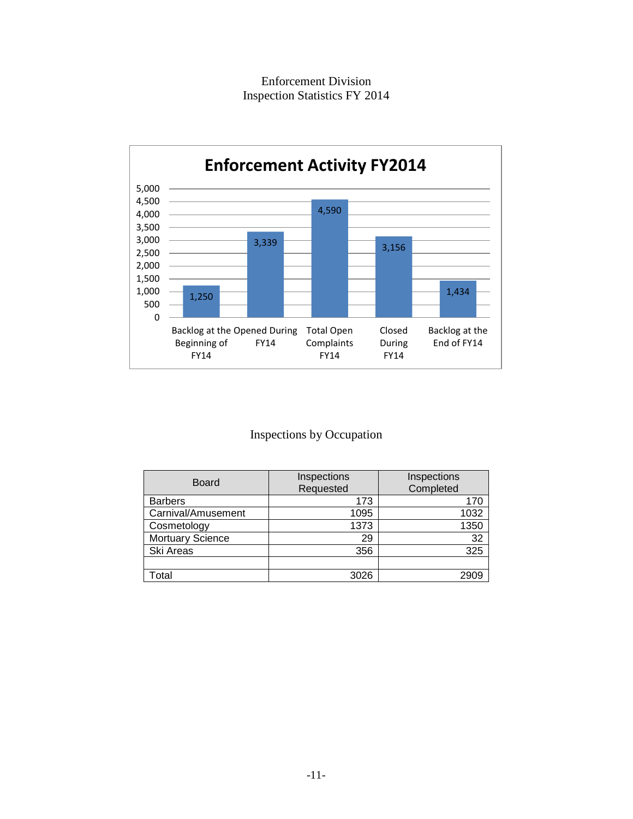Enforcement Division Inspection Statistics FY 2014



## Inspections by Occupation

| <b>Board</b>       | Inspections<br>Requested | Inspections<br>Completed |  |
|--------------------|--------------------------|--------------------------|--|
| <b>Barbers</b>     | 173                      | 170                      |  |
| Carnival/Amusement | 1095                     | 1032                     |  |
| Cosmetology        | 1373                     | 1350                     |  |
| Mortuary Science   | 29                       | 32                       |  |
| Ski Areas          | 356                      | 325                      |  |
|                    |                          |                          |  |
| Total              | 3026                     | 2909                     |  |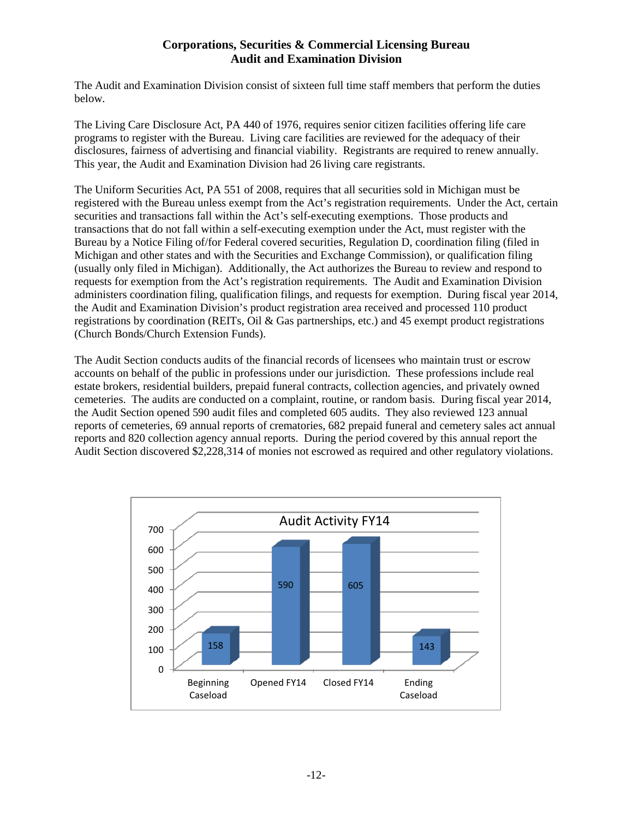## **Corporations, Securities & Commercial Licensing Bureau Audit and Examination Division**

The Audit and Examination Division consist of sixteen full time staff members that perform the duties below.

The Living Care Disclosure Act, PA 440 of 1976, requires senior citizen facilities offering life care programs to register with the Bureau. Living care facilities are reviewed for the adequacy of their disclosures, fairness of advertising and financial viability. Registrants are required to renew annually. This year, the Audit and Examination Division had 26 living care registrants.

The Uniform Securities Act, PA 551 of 2008, requires that all securities sold in Michigan must be registered with the Bureau unless exempt from the Act's registration requirements. Under the Act, certain securities and transactions fall within the Act's self-executing exemptions. Those products and transactions that do not fall within a self-executing exemption under the Act, must register with the Bureau by a Notice Filing of/for Federal covered securities, Regulation D, coordination filing (filed in Michigan and other states and with the Securities and Exchange Commission), or qualification filing (usually only filed in Michigan). Additionally, the Act authorizes the Bureau to review and respond to requests for exemption from the Act's registration requirements. The Audit and Examination Division administers coordination filing, qualification filings, and requests for exemption. During fiscal year 2014, the Audit and Examination Division's product registration area received and processed 110 product registrations by coordination (REITs, Oil & Gas partnerships, etc.) and 45 exempt product registrations (Church Bonds/Church Extension Funds).

The Audit Section conducts audits of the financial records of licensees who maintain trust or escrow accounts on behalf of the public in professions under our jurisdiction. These professions include real estate brokers, residential builders, prepaid funeral contracts, collection agencies, and privately owned cemeteries. The audits are conducted on a complaint, routine, or random basis. During fiscal year 2014, the Audit Section opened 590 audit files and completed 605 audits. They also reviewed 123 annual reports of cemeteries, 69 annual reports of crematories, 682 prepaid funeral and cemetery sales act annual reports and 820 collection agency annual reports. During the period covered by this annual report the Audit Section discovered \$2,228,314 of monies not escrowed as required and other regulatory violations.

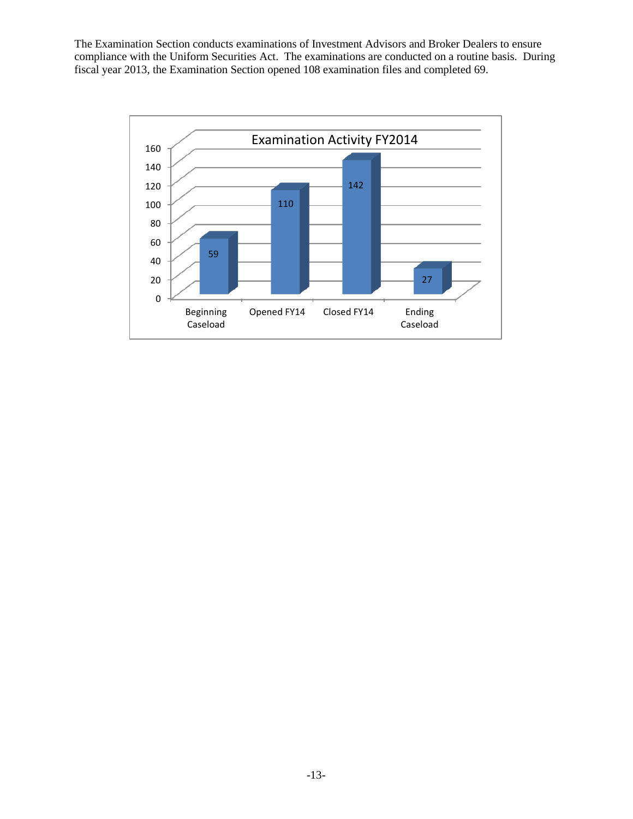The Examination Section conducts examinations of Investment Advisors and Broker Dealers to ensure compliance with the Uniform Securities Act. The examinations are conducted on a routine basis. During fiscal year 2013, the Examination Section opened 108 examination files and completed 69.

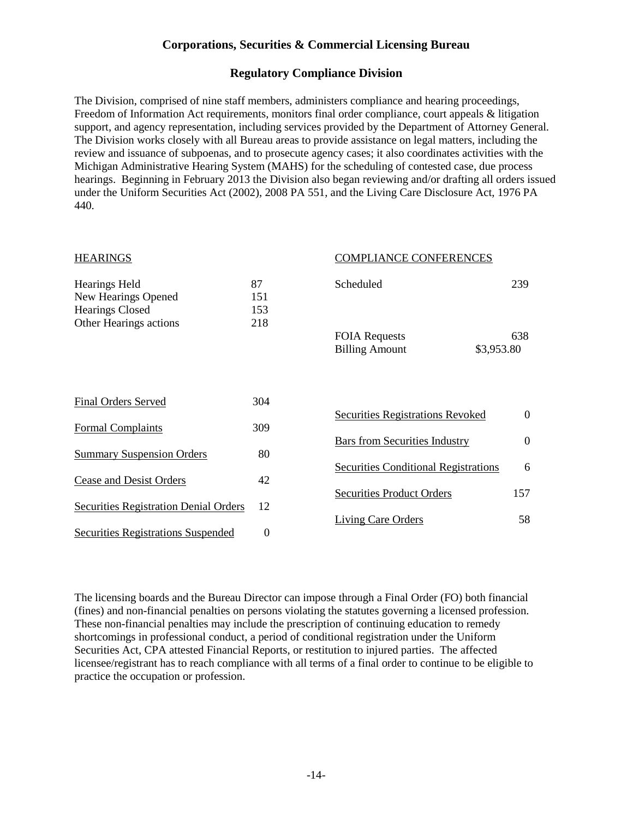## **Regulatory Compliance Division**

The Division, comprised of nine staff members, administers compliance and hearing proceedings, Freedom of Information Act requirements, monitors final order compliance, court appeals & litigation support, and agency representation, including services provided by the Department of Attorney General. The Division works closely with all Bureau areas to provide assistance on legal matters, including the review and issuance of subpoenas, and to prosecute agency cases; it also coordinates activities with the Michigan Administrative Hearing System (MAHS) for the scheduling of contested case, due process hearings. Beginning in February 2013 the Division also began reviewing and/or drafting all orders issued under the Uniform Securities Act (2002), 2008 PA 551, and the Living Care Disclosure Act, 1976 PA 440.

| <b>HEARINGS</b>                                                       |                  | <b>COMPLIANCE CONFERENCES</b>                                                       |               |
|-----------------------------------------------------------------------|------------------|-------------------------------------------------------------------------------------|---------------|
| <b>Hearings Held</b><br>New Hearings Opened<br><b>Hearings Closed</b> | 87<br>151<br>153 | Scheduled                                                                           | 239           |
| Other Hearings actions                                                | 218              | <b>FOIA Requests</b><br><b>Billing Amount</b><br>\$3,953.80                         | 638           |
| <b>Final Orders Served</b>                                            | 304              | <b>Securities Registrations Revoked</b>                                             | $\theta$      |
| <b>Formal Complaints</b>                                              | 309              |                                                                                     |               |
| <b>Summary Suspension Orders</b>                                      | 80               | <b>Bars from Securities Industry</b><br><b>Securities Conditional Registrations</b> | $\theta$<br>6 |
| Cease and Desist Orders                                               | 42               |                                                                                     |               |
| <b>Securities Registration Denial Orders</b>                          | 12               | <b>Securities Product Orders</b><br>Living Care Orders                              | 157<br>58     |
| Securities Registrations Suspended                                    | $\overline{0}$   |                                                                                     |               |

The licensing boards and the Bureau Director can impose through a Final Order (FO) both financial (fines) and non-financial penalties on persons violating the statutes governing a licensed profession. These non-financial penalties may include the prescription of continuing education to remedy shortcomings in professional conduct, a period of conditional registration under the Uniform Securities Act, CPA attested Financial Reports, or restitution to injured parties. The affected licensee/registrant has to reach compliance with all terms of a final order to continue to be eligible to practice the occupation or profession.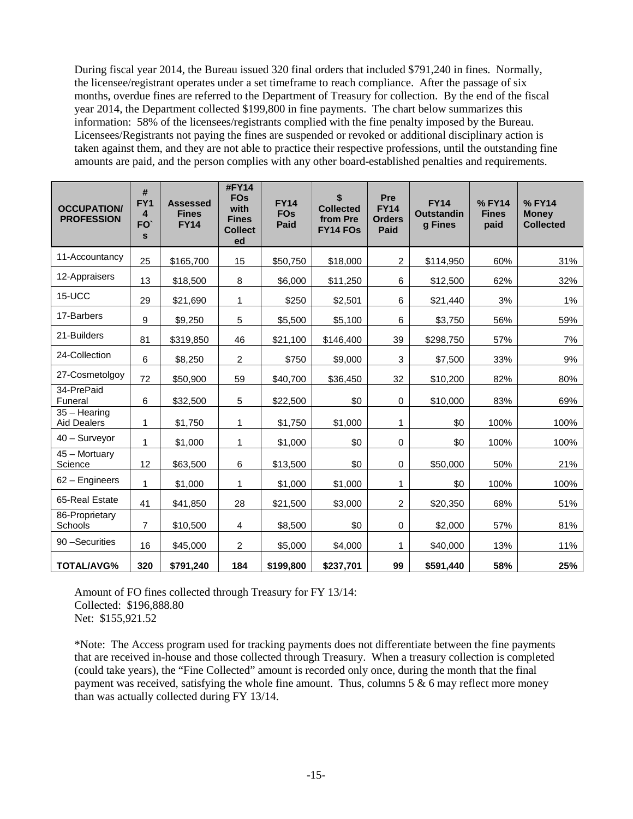During fiscal year 2014, the Bureau issued 320 final orders that included \$791,240 in fines. Normally, the licensee/registrant operates under a set timeframe to reach compliance. After the passage of six months, overdue fines are referred to the Department of Treasury for collection. By the end of the fiscal year 2014, the Department collected \$199,800 in fine payments. The chart below summarizes this information: 58% of the licensees/registrants complied with the fine penalty imposed by the Bureau. Licensees/Registrants not paying the fines are suspended or revoked or additional disciplinary action is taken against them, and they are not able to practice their respective professions, until the outstanding fine amounts are paid, and the person complies with any other board-established penalties and requirements.

| <b>OCCUPATION/</b><br><b>PROFESSION</b> | #<br>FY <sub>1</sub><br>4<br>FO <sup>®</sup><br>$\mathbf{s}$ | <b>Assessed</b><br><b>Fines</b><br><b>FY14</b> | #FY14<br><b>FOs</b><br>with<br><b>Fines</b><br><b>Collect</b><br>ed | <b>FY14</b><br><b>FOs</b><br><b>Paid</b> | \$<br><b>Collected</b><br>from Pre<br><b>FY14 FOs</b> | Pre<br><b>FY14</b><br><b>Orders</b><br>Paid | <b>FY14</b><br><b>Outstandin</b><br>g Fines | %FY14<br><b>Fines</b><br>paid | %FY14<br><b>Money</b><br><b>Collected</b> |
|-----------------------------------------|--------------------------------------------------------------|------------------------------------------------|---------------------------------------------------------------------|------------------------------------------|-------------------------------------------------------|---------------------------------------------|---------------------------------------------|-------------------------------|-------------------------------------------|
| 11-Accountancy                          | 25                                                           | \$165,700                                      | 15                                                                  | \$50,750                                 | \$18,000                                              | $\overline{a}$                              | \$114,950                                   | 60%                           | 31%                                       |
| 12-Appraisers                           | 13                                                           | \$18,500                                       | 8                                                                   | \$6,000                                  | \$11,250                                              | 6                                           | \$12,500                                    | 62%                           | 32%                                       |
| 15-UCC                                  | 29                                                           | \$21,690                                       | 1                                                                   | \$250                                    | \$2,501                                               | 6                                           | \$21,440                                    | 3%                            | $1\%$                                     |
| 17-Barbers                              | 9                                                            | \$9,250                                        | 5                                                                   | \$5,500                                  | \$5,100                                               | 6                                           | \$3,750                                     | 56%                           | 59%                                       |
| 21-Builders                             | 81                                                           | \$319,850                                      | 46                                                                  | \$21,100                                 | \$146,400                                             | 39                                          | \$298,750                                   | 57%                           | 7%                                        |
| 24-Collection                           | 6                                                            | \$8,250                                        | $\overline{2}$                                                      | \$750                                    | \$9,000                                               | 3                                           | \$7,500                                     | 33%                           | 9%                                        |
| 27-Cosmetolgoy                          | 72                                                           | \$50,900                                       | 59                                                                  | \$40,700                                 | \$36,450                                              | 32                                          | \$10,200                                    | 82%                           | 80%                                       |
| 34-PrePaid<br>Funeral                   | 6                                                            | \$32,500                                       | $\sqrt{5}$                                                          | \$22,500                                 | \$0                                                   | 0                                           | \$10,000                                    | 83%                           | 69%                                       |
| $35 - Hearing$<br><b>Aid Dealers</b>    | 1                                                            | \$1,750                                        | 1                                                                   | \$1,750                                  | \$1,000                                               | 1                                           | \$0                                         | 100%                          | 100%                                      |
| 40 - Surveyor                           | 1                                                            | \$1,000                                        | 1                                                                   | \$1,000                                  | \$0                                                   | $\pmb{0}$                                   | \$0                                         | 100%                          | 100%                                      |
| 45 - Mortuary<br>Science                | 12                                                           | \$63,500                                       | 6                                                                   | \$13,500                                 | \$0                                                   | 0                                           | \$50,000                                    | 50%                           | 21%                                       |
| 62 - Engineers                          | 1                                                            | \$1,000                                        | 1                                                                   | \$1,000                                  | \$1,000                                               | 1                                           | \$0                                         | 100%                          | 100%                                      |
| 65-Real Estate                          | 41                                                           | \$41,850                                       | 28                                                                  | \$21,500                                 | \$3,000                                               | $\overline{a}$                              | \$20,350                                    | 68%                           | 51%                                       |
| 86-Proprietary<br>Schools               | $\overline{7}$                                               | \$10,500                                       | 4                                                                   | \$8,500                                  | \$0                                                   | $\mathbf 0$                                 | \$2,000                                     | 57%                           | 81%                                       |
| 90 - Securities                         | 16                                                           | \$45,000                                       | $\overline{c}$                                                      | \$5,000                                  | \$4,000                                               | 1                                           | \$40,000                                    | 13%                           | 11%                                       |
| <b>TOTAL/AVG%</b>                       | 320                                                          | \$791,240                                      | 184                                                                 | \$199,800                                | \$237,701                                             | 99                                          | \$591,440                                   | 58%                           | 25%                                       |

Amount of FO fines collected through Treasury for FY 13/14: Collected: \$196,888.80 Net: \$155,921.52

\*Note: The Access program used for tracking payments does not differentiate between the fine payments that are received in-house and those collected through Treasury. When a treasury collection is completed (could take years), the "Fine Collected" amount is recorded only once, during the month that the final payment was received, satisfying the whole fine amount. Thus, columns  $5 & 6$  may reflect more money than was actually collected during FY 13/14.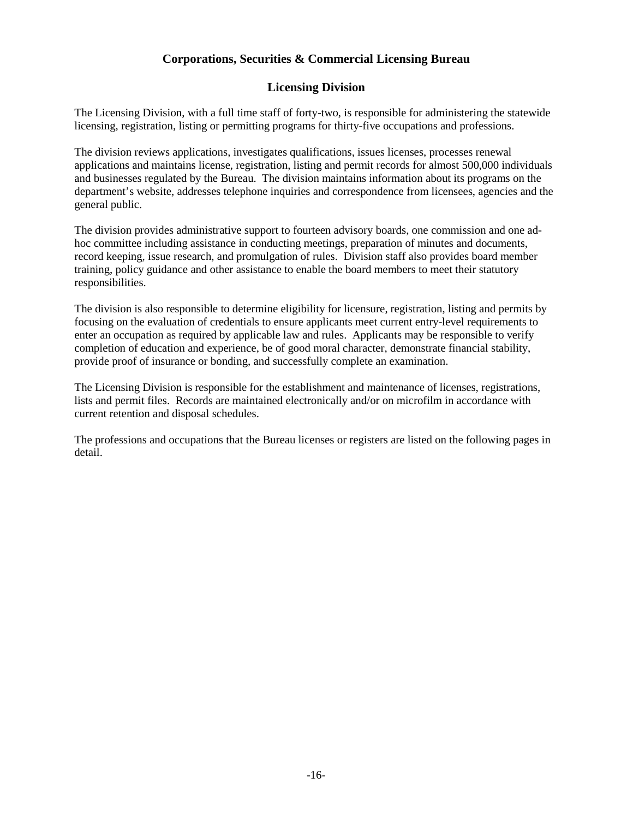#### **Licensing Division**

The Licensing Division, with a full time staff of forty-two, is responsible for administering the statewide licensing, registration, listing or permitting programs for thirty-five occupations and professions.

The division reviews applications, investigates qualifications, issues licenses, processes renewal applications and maintains license, registration, listing and permit records for almost 500,000 individuals and businesses regulated by the Bureau. The division maintains information about its programs on the department's website, addresses telephone inquiries and correspondence from licensees, agencies and the general public.

The division provides administrative support to fourteen advisory boards, one commission and one adhoc committee including assistance in conducting meetings, preparation of minutes and documents, record keeping, issue research, and promulgation of rules. Division staff also provides board member training, policy guidance and other assistance to enable the board members to meet their statutory responsibilities.

The division is also responsible to determine eligibility for licensure, registration, listing and permits by focusing on the evaluation of credentials to ensure applicants meet current entry-level requirements to enter an occupation as required by applicable law and rules. Applicants may be responsible to verify completion of education and experience, be of good moral character, demonstrate financial stability, provide proof of insurance or bonding, and successfully complete an examination.

The Licensing Division is responsible for the establishment and maintenance of licenses, registrations, lists and permit files. Records are maintained electronically and/or on microfilm in accordance with current retention and disposal schedules.

The professions and occupations that the Bureau licenses or registers are listed on the following pages in detail.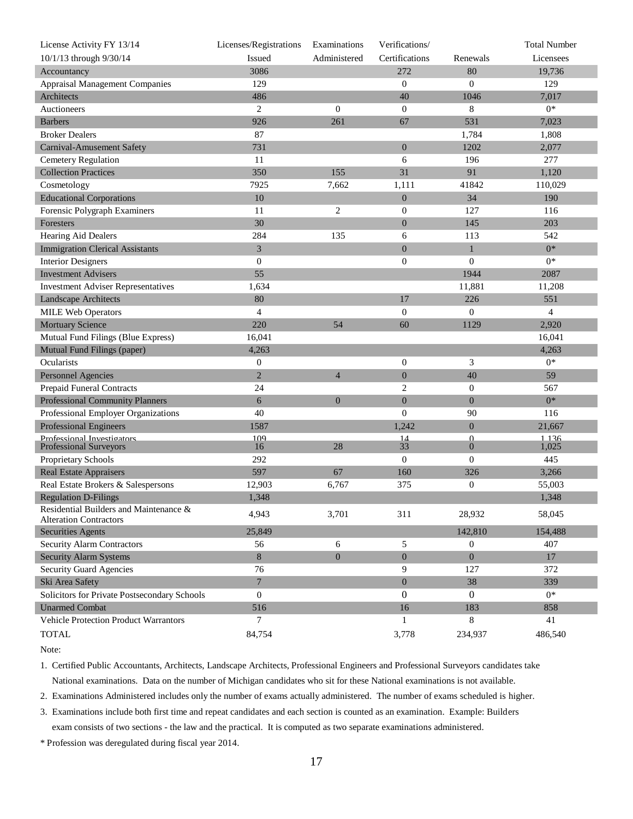| License Activity FY 13/14                                             | Licenses/Registrations | Examinations     | Verifications/   |                  | <b>Total Number</b> |
|-----------------------------------------------------------------------|------------------------|------------------|------------------|------------------|---------------------|
| 10/1/13 through 9/30/14                                               | Issued                 | Administered     | Certifications   | Renewals         | Licensees           |
| Accountancy                                                           | 3086                   |                  | 272              | 80               | 19,736              |
| <b>Appraisal Management Companies</b>                                 | 129                    |                  | $\mathbf{0}$     | $\Omega$         | 129                 |
| Architects                                                            | 486                    |                  | 40               | 1046             | 7,017               |
| Auctioneers                                                           | $\overline{2}$         | $\mathbf{0}$     | $\mathbf{0}$     | 8                | $0*$                |
| <b>Barbers</b>                                                        | 926                    | 261              | 67               | 531              | 7,023               |
| <b>Broker Dealers</b>                                                 | 87                     |                  |                  | 1,784            | 1,808               |
| Carnival-Amusement Safety                                             | 731                    |                  | $\overline{0}$   | 1202             | 2,077               |
| <b>Cemetery Regulation</b>                                            | 11                     |                  | 6                | 196              | 277                 |
| <b>Collection Practices</b>                                           | 350                    | 155              | 31               | 91               | 1,120               |
| Cosmetology                                                           | 7925                   | 7,662            | 1,111            | 41842            | 110,029             |
| <b>Educational Corporations</b>                                       | 10                     |                  | $\boldsymbol{0}$ | 34               | 190                 |
| Forensic Polygraph Examiners                                          | 11                     | 2                | $\mathbf{0}$     | 127              | 116                 |
| Foresters                                                             | 30                     |                  | $\mathbf{0}$     | 145              | 203                 |
| Hearing Aid Dealers                                                   | 284                    | 135              | 6                | 113              | 542                 |
| <b>Immigration Clerical Assistants</b>                                | 3                      |                  | $\overline{0}$   | $\mathbf{1}$     | $0*$                |
| <b>Interior Designers</b>                                             | $\boldsymbol{0}$       |                  | $\mathbf{0}$     | $\overline{0}$   | $0*$                |
| <b>Investment Advisers</b>                                            | 55                     |                  |                  | 1944             | 2087                |
| <b>Investment Adviser Representatives</b>                             | 1,634                  |                  |                  | 11,881           | 11,208              |
| Landscape Architects                                                  | 80                     |                  | 17               | 226              | 551                 |
| <b>MILE Web Operators</b>                                             | $\overline{4}$         |                  | $\mathbf{0}$     | $\boldsymbol{0}$ | $\overline{4}$      |
| <b>Mortuary Science</b>                                               | 220                    | 54               | 60               | 1129             | 2,920               |
| Mutual Fund Filings (Blue Express)                                    | 16,041                 |                  |                  |                  | 16,041              |
| Mutual Fund Filings (paper)                                           | 4,263                  |                  |                  |                  | 4,263               |
| Ocularists                                                            | $\boldsymbol{0}$       |                  | $\overline{0}$   | 3                | $0*$                |
| <b>Personnel Agencies</b>                                             | $\overline{2}$         | $\overline{4}$   | $\mathbf{0}$     | 40               | 59                  |
| <b>Prepaid Funeral Contracts</b>                                      | 24                     |                  | $\overline{2}$   | $\boldsymbol{0}$ | 567                 |
| <b>Professional Community Planners</b>                                | 6                      | $\overline{0}$   | $\boldsymbol{0}$ | $\mathbf{0}$     | $0*$                |
| Professional Employer Organizations                                   | 40                     |                  | $\overline{0}$   | 90               | 116                 |
| <b>Professional Engineers</b>                                         | 1587                   |                  | 1,242            | $\mathbf{0}$     | 21,667              |
| Professional Investigators                                            | 100                    |                  | 14               | $\Omega$         | 1136                |
| Professional Surveyors                                                | 16                     | 28               | 33               | $\boldsymbol{0}$ | 1,025               |
| Proprietary Schools                                                   | 292                    |                  | $\boldsymbol{0}$ | $\boldsymbol{0}$ | 445                 |
| <b>Real Estate Appraisers</b>                                         | 597                    | 67               | 160              | 326              | 3,266               |
| Real Estate Brokers & Salespersons                                    | 12,903                 | 6,767            | 375              | $\boldsymbol{0}$ | 55,003              |
| <b>Regulation D-Filings</b><br>Residential Builders and Maintenance & | 1,348                  |                  |                  |                  | 1,348               |
| <b>Alteration Contractors</b>                                         | 4,943                  | 3,701            | 311              | 28,932           | 58,045              |
| <b>Securities Agents</b>                                              | 25,849                 |                  |                  | 142,810          | 154,488             |
| <b>Security Alarm Contractors</b>                                     | 56                     | 6                | $\mathfrak{S}$   | 0                | 407                 |
| <b>Security Alarm Systems</b>                                         | $\bf 8$                | $\boldsymbol{0}$ | $\boldsymbol{0}$ | $\overline{0}$   | 17                  |
| <b>Security Guard Agencies</b>                                        | 76                     |                  | 9                | 127              | 372                 |
| Ski Area Safety                                                       | $\overline{7}$         |                  | $\mathbf{0}$     | 38               | 339                 |
| Solicitors for Private Postsecondary Schools                          | $\theta$               |                  | $\mathbf{0}$     | $\overline{0}$   | $0*$                |
| <b>Unarmed Combat</b>                                                 | 516                    |                  | 16               | 183              | 858                 |
| Vehicle Protection Product Warrantors                                 | 7                      |                  | 1                | 8                | 41                  |
| <b>TOTAL</b>                                                          | 84,754                 |                  | 3,778            | 234,937          | 486,540             |
|                                                                       |                        |                  |                  |                  |                     |

Note:

1. Certified Public Accountants, Architects, Landscape Architects, Professional Engineers and Professional Surveyors candidates take National examinations. Data on the number of Michigan candidates who sit for these National examinations is not available.

2. Examinations Administered includes only the number of exams actually administered. The number of exams scheduled is higher.

3. Examinations include both first time and repeat candidates and each section is counted as an examination. Example: Builders

exam consists of two sections - the law and the practical. It is computed as two separate examinations administered.

\* Profession was deregulated during fiscal year 2014.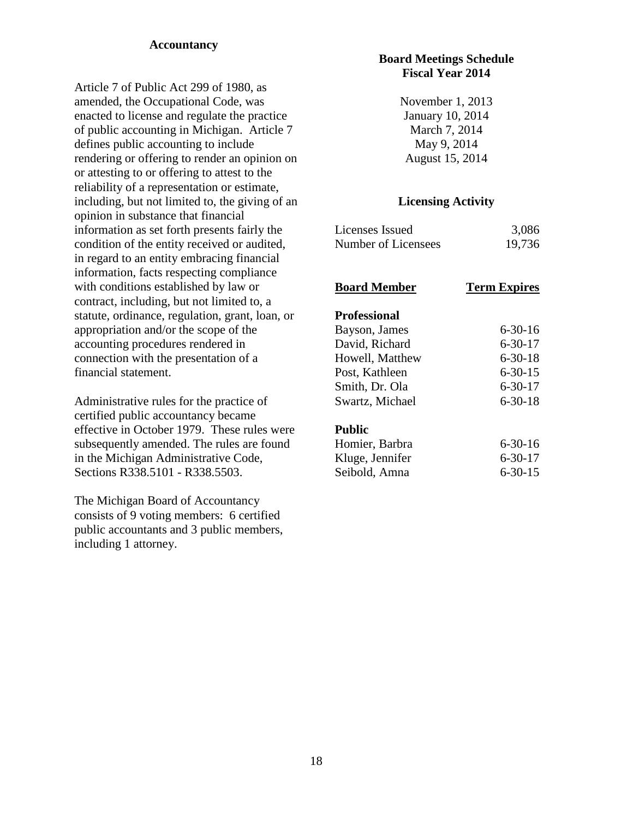## **Accountancy**

Article 7 of Public Act 299 of 1980, as amended, the Occupational Code, was enacted to license and regulate the practice of public accounting in Michigan. Article 7 defines public accounting to include rendering or offering to render an opinion on or attesting to or offering to attest to the reliability of a representation or estimate, including, but not limited to, the giving of an opinion in substance that financial information as set forth presents fairly the condition of the entity received or audited, in regard to an entity embracing financial information, facts respecting compliance with conditions established by law or contract, including, but not limited to, a statute, ordinance, regulation, grant, loan, or appropriation and/or the scope of the accounting procedures rendered in connection with the presentation of a financial statement.

Administrative rules for the practice of certified public accountancy became effective in October 1979. These rules were subsequently amended. The rules are found in the Michigan Administrative Code, Sections R338.5101 - R338.5503.

The Michigan Board of Accountancy consists of 9 voting members: 6 certified public accountants and 3 public members, including 1 attorney.

## **Board Meetings Schedule Fiscal Year 2014**

November 1, 2013 January 10, 2014 March 7, 2014 May 9, 2014 August 15, 2014

## **Licensing Activity**

| Licenses Issued     | 3,086  |
|---------------------|--------|
| Number of Licensees | 19,736 |

#### **Board Member Term Expires**

#### **Professional**

| Bayson, James   | $6 - 30 - 16$ |
|-----------------|---------------|
| David, Richard  | $6 - 30 - 17$ |
| Howell, Matthew | $6 - 30 - 18$ |
| Post, Kathleen  | $6 - 30 - 15$ |
| Smith, Dr. Ola  | $6 - 30 - 17$ |
| Swartz, Michael | $6 - 30 - 18$ |

#### **Public**

| Homier, Barbra  | $6 - 30 - 16$ |
|-----------------|---------------|
| Kluge, Jennifer | $6 - 30 - 17$ |
| Seibold, Amna   | $6 - 30 - 15$ |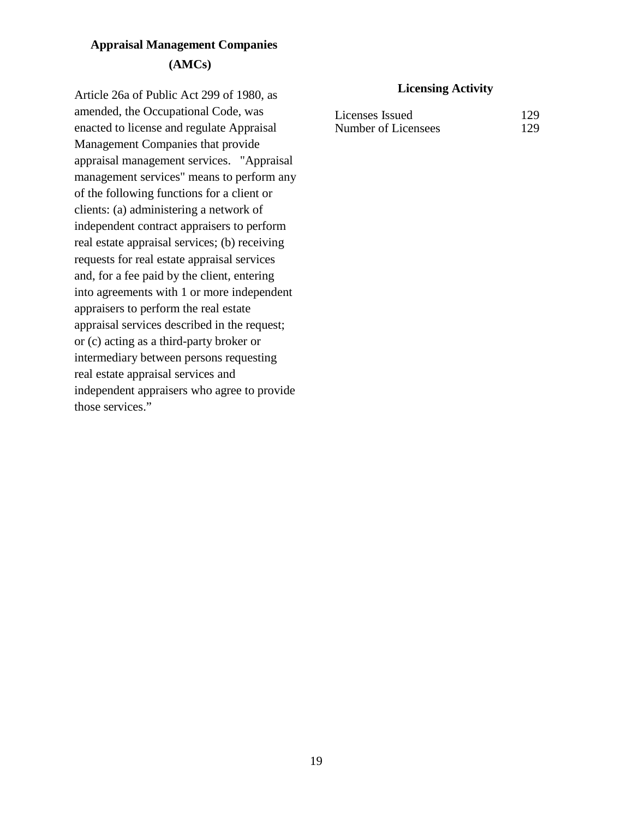# **Appraisal Management Companies (AMCs)**

Article 26a of Public Act 299 of 1980, as amended, the Occupational Code, was enacted to license and regulate Appraisal Management Companies that provide appraisal management services. "Appraisal management services" means to perform any of the following functions for a client or clients: (a) administering a network of independent contract appraisers to perform real estate appraisal services; (b) receiving requests for real estate appraisal services and, for a fee paid by the client, entering into agreements with 1 or more independent appraisers to perform the real estate appraisal services described in the request; or (c) acting as a third-party broker or intermediary between persons requesting real estate appraisal services and independent appraisers who agree to provide those services."

| Licenses Issued     | 129 |
|---------------------|-----|
| Number of Licensees | 129 |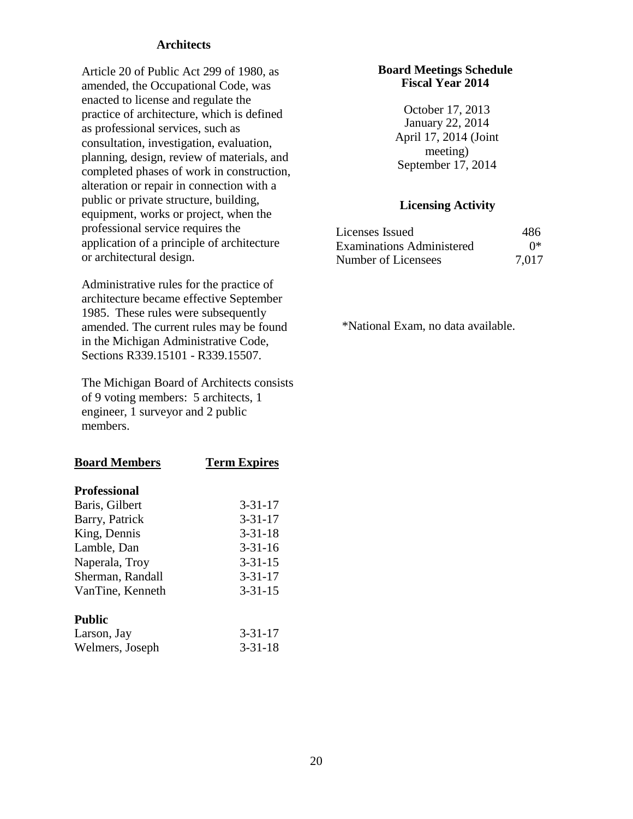#### **Architects**

Article 20 of Public Act 299 of 1980, as amended, the Occupational Code, was enacted to license and regulate the practice of architecture, which is defined as professional services, such as consultation, investigation, evaluation, planning, design, review of materials, and completed phases of work in construction, alteration or repair in connection with a public or private structure, building, equipment, works or project, when the professional service requires the application of a principle of architecture or architectural design.

Administrative rules for the practice of architecture became effective September 1985. These rules were subsequently amended. The current rules may be found in the Michigan Administrative Code, Sections R339.15101 - R339.15507.

The Michigan Board of Architects consists of 9 voting members: 5 architects, 1 engineer, 1 surveyor and 2 public members.

| <b>Board Members</b> | <b>Term Expires</b> |
|----------------------|---------------------|
| <b>Professional</b>  |                     |
| Baris, Gilbert       | $3 - 31 - 17$       |
| Barry, Patrick       | $3 - 31 - 17$       |
| King, Dennis         | $3 - 31 - 18$       |
| Lamble, Dan          | $3 - 31 - 16$       |
| Naperala, Troy       | $3 - 31 - 15$       |
| Sherman, Randall     | $3 - 31 - 17$       |
| VanTine, Kenneth     | $3 - 31 - 15$       |
| Public               |                     |
| Larson, Jay          | $3 - 31 - 17$       |
| Welmers, Joseph      | $3 - 31 - 18$       |

#### **Board Meetings Schedule Fiscal Year 2014**

October 17, 2013 January 22, 2014 April 17, 2014 (Joint meeting) September 17, 2014

#### **Licensing Activity**

| Licenses Issued                  | 486   |
|----------------------------------|-------|
| <b>Examinations Administered</b> | ∩*    |
| Number of Licensees              | 7,017 |

\*National Exam, no data available.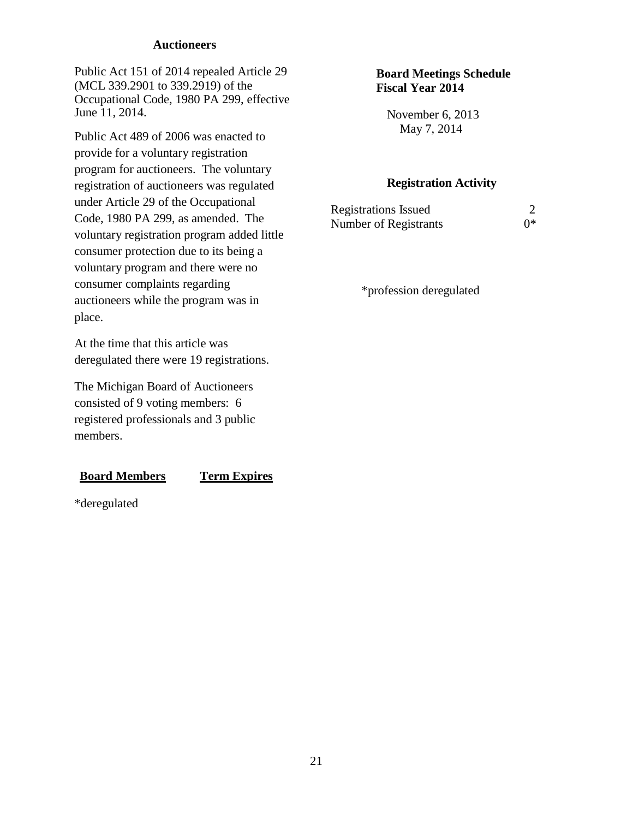#### **Auctioneers**

Public Act 151 of 2014 repealed Article 29 (MCL 339.2901 to 339.2919) of the Occupational Code, 1980 PA 299, effective June 11, 2014.

Public Act 489 of 2006 was enacted to provide for a voluntary registration program for auctioneers. The voluntary registration of auctioneers was regulated under Article 29 of the Occupational Code, 1980 PA 299, as amended. The voluntary registration program added little consumer protection due to its being a voluntary program and there were no consumer complaints regarding auctioneers while the program was in place.

At the time that this article was deregulated there were 19 registrations.

The Michigan Board of Auctioneers consisted of 9 voting members: 6 registered professionals and 3 public members.

#### **Board Members Term Expires**

\*deregulated

## **Board Meetings Schedule Fiscal Year 2014**

November 6, 2013 May 7, 2014

#### **Registration Activity**

| <b>Registrations Issued</b> |    |
|-----------------------------|----|
| Number of Registrants       | ∩* |

\*profession deregulated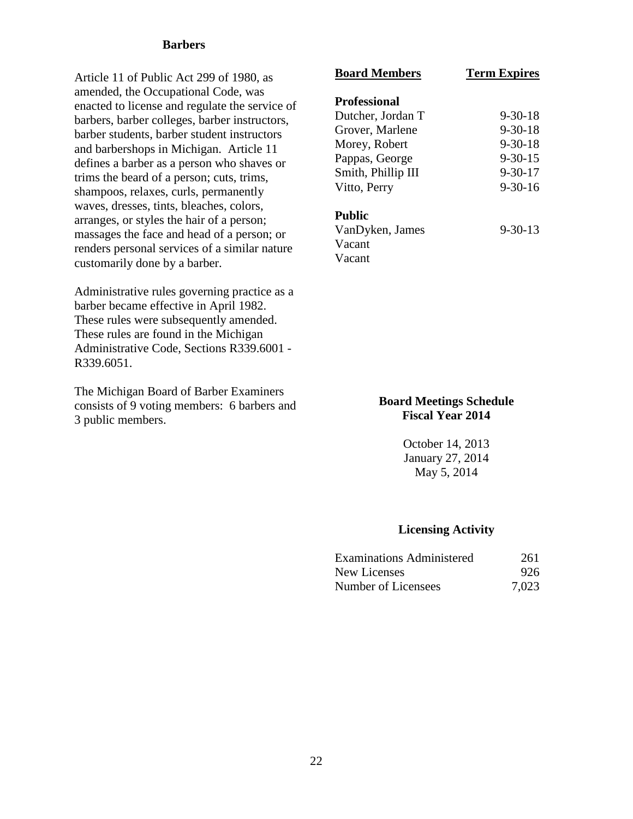#### **Barbers**

Article 11 of Public Act 299 of 1980, as amended, the Occupational Code, was enacted to license and regulate the service of barbers, barber colleges, barber instructors, barber students, barber student instructors and barbershops in Michigan. Article 11 defines a barber as a person who shaves or trims the beard of a person; cuts, trims, shampoos, relaxes, curls, permanently waves, dresses, tints, bleaches, colors, arranges, or styles the hair of a person; massages the face and head of a person; or renders personal services of a similar nature customarily done by a barber.

Administrative rules governing practice as a barber became effective in April 1982. These rules were subsequently amended. These rules are found in the Michigan Administrative Code, Sections R339.6001 - R339.6051.

The Michigan Board of Barber Examiners consists of 9 voting members: 6 barbers and 3 public members.

# **Board Members Term Expires Professional** Dutcher, Jordan T 9-30-18 Grover, Marlene 9-30-18 Morey, Robert 9-30-18 Pappas, George 9-30-15 Smith, Phillip III 9-30-17 Vitto, Perry 9-30-16 **Public** VanDyken, James 9-30-13

Vacant Vacant

## **Board Meetings Schedule Fiscal Year 2014**

October 14, 2013 January 27, 2014 May 5, 2014

| <b>Examinations Administered</b> | 261   |
|----------------------------------|-------|
| <b>New Licenses</b>              | 926   |
| Number of Licensees              | 7,023 |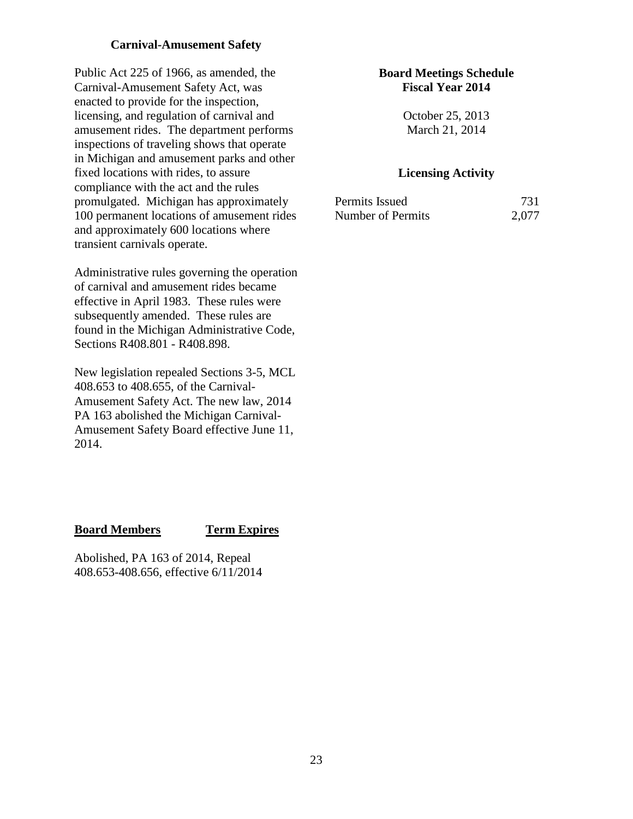## **Carnival-Amusement Safety**

Public Act 225 of 1966, as amended, the Carnival-Amusement Safety Act, was enacted to provide for the inspection, licensing, and regulation of carnival and amusement rides. The department performs inspections of traveling shows that operate in Michigan and amusement parks and other fixed locations with rides, to assure compliance with the act and the rules promulgated. Michigan has approximately 100 permanent locations of amusement rides and approximately 600 locations where transient carnivals operate.

Administrative rules governing the operation of carnival and amusement rides became effective in April 1983. These rules were subsequently amended. These rules are found in the Michigan Administrative Code, Sections R408.801 - R408.898.

New legislation repealed Sections 3-5, MCL 408.653 to 408.655, of the Carnival-Amusement Safety Act. The new law, 2014 PA 163 abolished the Michigan Carnival-Amusement Safety Board effective June 11, 2014.

#### **Board Members Term Expires**

Abolished, PA 163 of 2014, Repeal 408.653-408.656, effective 6/11/2014

## **Board Meetings Schedule Fiscal Year 2014**

October 25, 2013 March 21, 2014

| Permits Issued    | 731   |
|-------------------|-------|
| Number of Permits | 2,077 |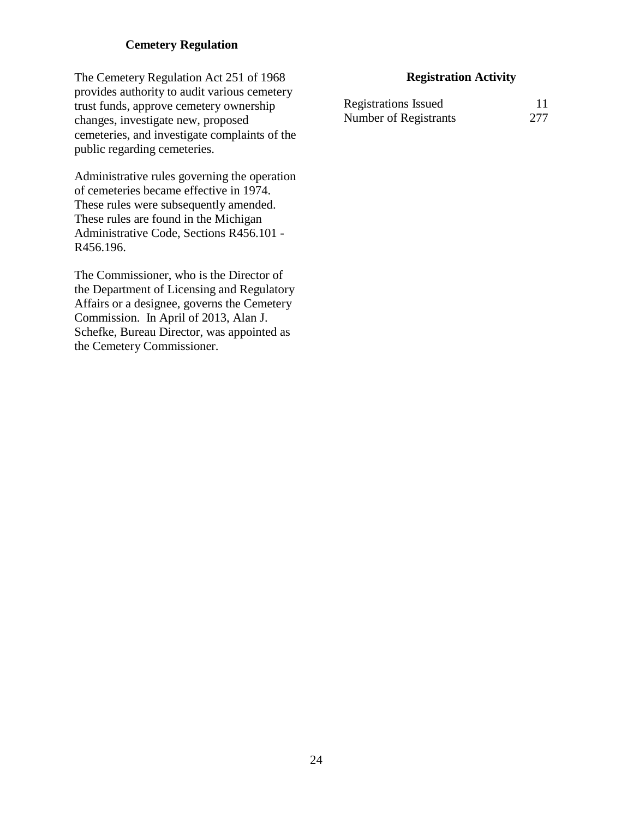## **Cemetery Regulation**

The Cemetery Regulation Act 251 of 1968 provides authority to audit various cemetery trust funds, approve cemetery ownership changes, investigate new, proposed cemeteries, and investigate complaints of the public regarding cemeteries.

Administrative rules governing the operation of cemeteries became effective in 1974. These rules were subsequently amended. These rules are found in the Michigan Administrative Code, Sections R456.101 - R456.196.

The Commissioner, who is the Director of the Department of Licensing and Regulatory Affairs or a designee, governs the Cemetery Commission. In April of 2013, Alan J. Schefke, Bureau Director, was appointed as the Cemetery Commissioner.

### **Registration Activity**

| <b>Registrations Issued</b> |     |
|-----------------------------|-----|
| Number of Registrants       | 277 |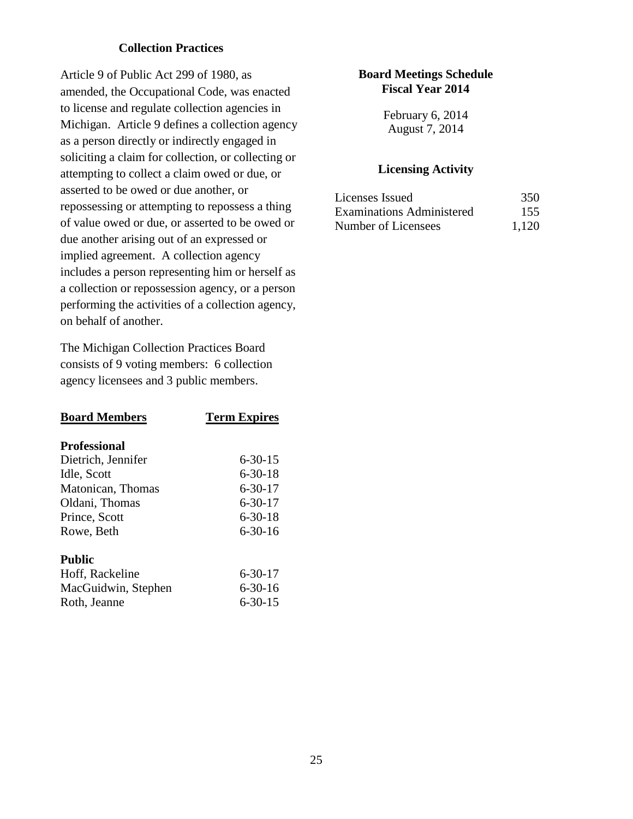## **Collection Practices**

Article 9 of Public Act 299 of 1980, as amended, the Occupational Code, was enacted to license and regulate collection agencies in Michigan. Article 9 defines a collection agency as a person directly or indirectly engaged in soliciting a claim for collection, or collecting or attempting to collect a claim owed or due, or asserted to be owed or due another, or repossessing or attempting to repossess a thing of value owed or due, or asserted to be owed or due another arising out of an expressed or implied agreement. A collection agency includes a person representing him or herself as a collection or repossession agency, or a person performing the activities of a collection agency, on behalf of another.

The Michigan Collection Practices Board consists of 9 voting members: 6 collection agency licensees and 3 public members.

| <b>Board Members</b> | <b>Term Expires</b> |
|----------------------|---------------------|
| <b>Professional</b>  |                     |
| Dietrich, Jennifer   | 6-30-15             |
| Idle, Scott          | $6 - 30 - 18$       |
| Matonican, Thomas    | $6 - 30 - 17$       |
| Oldani, Thomas       | 6-30-17             |
| Prince, Scott        | $6 - 30 - 18$       |
| Rowe, Beth           | $6 - 30 - 16$       |
| Public               |                     |
| Hoff, Rackeline      | $6 - 30 - 17$       |
| MacGuidwin, Stephen  | $6 - 30 - 16$       |
| Roth, Jeanne         | $6 - 30 - 15$       |

## **Board Meetings Schedule Fiscal Year 2014**

February 6, 2014 August 7, 2014

| Licenses Issued                  | 350   |
|----------------------------------|-------|
| <b>Examinations Administered</b> | 155   |
| Number of Licensees              | 1,120 |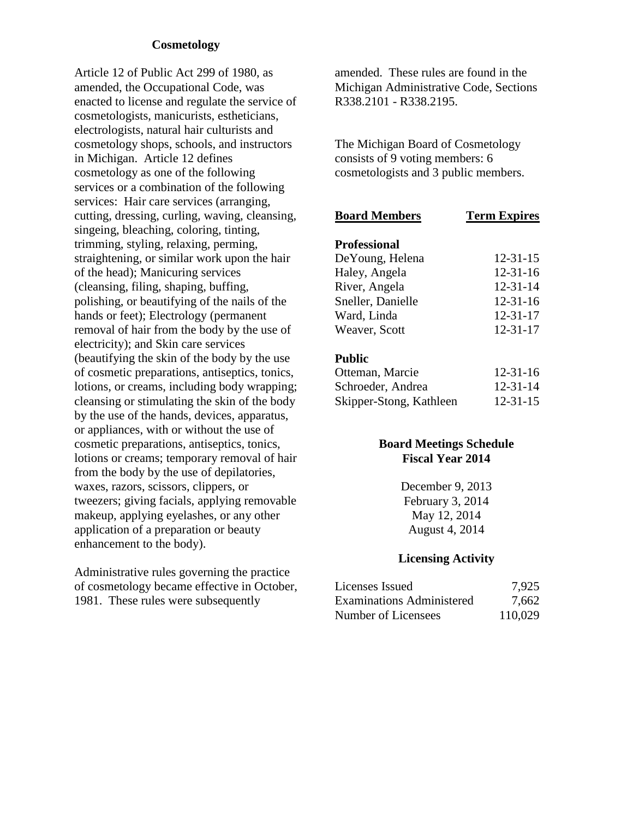### **Cosmetology**

Article 12 of Public Act 299 of 1980, as amended, the Occupational Code, was enacted to license and regulate the service of cosmetologists, manicurists, estheticians, electrologists, natural hair culturists and cosmetology shops, schools, and instructors in Michigan. Article 12 defines cosmetology as one of the following services or a combination of the following services: Hair care services (arranging, cutting, dressing, curling, waving, cleansing, singeing, bleaching, coloring, tinting, trimming, styling, relaxing, perming, straightening, or similar work upon the hair of the head); Manicuring services (cleansing, filing, shaping, buffing, polishing, or beautifying of the nails of the hands or feet); Electrology (permanent removal of hair from the body by the use of electricity); and Skin care services (beautifying the skin of the body by the use of cosmetic preparations, antiseptics, tonics, lotions, or creams, including body wrapping; cleansing or stimulating the skin of the body by the use of the hands, devices, apparatus, or appliances, with or without the use of cosmetic preparations, antiseptics, tonics, lotions or creams; temporary removal of hair from the body by the use of depilatories, waxes, razors, scissors, clippers, or tweezers; giving facials, applying removable makeup, applying eyelashes, or any other application of a preparation or beauty enhancement to the body).

Administrative rules governing the practice of cosmetology became effective in October, 1981. These rules were subsequently

amended. These rules are found in the Michigan Administrative Code, Sections R338.2101 - R338.2195.

The Michigan Board of Cosmetology consists of 9 voting members: 6 cosmetologists and 3 public members.

| <b>Board Members</b> | <b>Term Expires</b> |
|----------------------|---------------------|
| <b>Professional</b>  |                     |
| De Young, Helena     | $12 - 31 - 15$      |
| Haley, Angela        | $12 - 31 - 16$      |
| River, Angela        | $12 - 31 - 14$      |
| Sneller, Danielle    | $12 - 31 - 16$      |
| Ward, Linda          | $12 - 31 - 17$      |
| Weaver, Scott        | $12 - 31 - 17$      |
| <b>Public</b>        |                     |
| Ottomon Moroio       | 12 21 16            |

| Otteman, Marcie         | $12 - 31 - 16$ |
|-------------------------|----------------|
| Schroeder, Andrea       | $12 - 31 - 14$ |
| Skipper-Stong, Kathleen | $12 - 31 - 15$ |

## **Board Meetings Schedule Fiscal Year 2014**

December 9, 2013 February 3, 2014 May 12, 2014 August 4, 2014

| Licenses Issued                  | 7,925   |
|----------------------------------|---------|
| <b>Examinations Administered</b> | 7,662   |
| Number of Licensees              | 110,029 |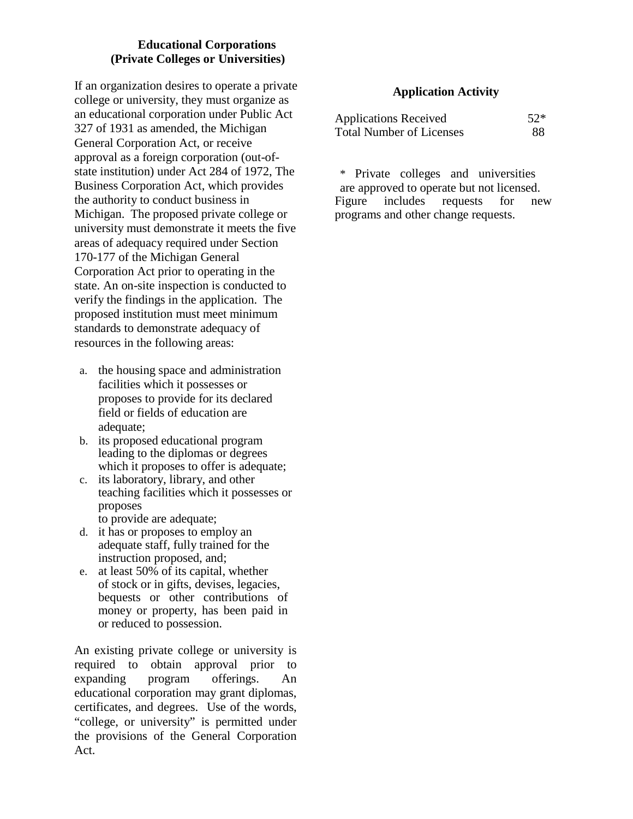## **Educational Corporations (Private Colleges or Universities)**

If an organization desires to operate a private college or university, they must organize as an educational corporation under Public Act 327 of 1931 as amended, the Michigan General Corporation Act, or receive approval as a foreign corporation (out-ofstate institution) under Act 284 of 1972, The Business Corporation Act, which provides the authority to conduct business in Michigan. The proposed private college or university must demonstrate it meets the five areas of adequacy required under Section 170-177 of the Michigan General Corporation Act prior to operating in the state. An on-site inspection is conducted to verify the findings in the application. The proposed institution must meet minimum standards to demonstrate adequacy of resources in the following areas:

- a. the housing space and administration facilities which it possesses or proposes to provide for its declared field or fields of education are adequate;
- b. its proposed educational program leading to the diplomas or degrees which it proposes to offer is adequate;
- c. its laboratory, library, and other teaching facilities which it possesses or proposes to provide are adequate;
- d. it has or proposes to employ an adequate staff, fully trained for the instruction proposed, and;
- e. at least 50% of its capital, whether of stock or in gifts, devises, legacies, bequests or other contributions of money or property, has been paid in or reduced to possession.

An existing private college or university is required to obtain approval prior to expanding program offerings. An educational corporation may grant diplomas, certificates, and degrees. Use of the words, "college, or university" is permitted under the provisions of the General Corporation Act.

## **Application Activity**

| <b>Applications Received</b>    | $52*$ |
|---------------------------------|-------|
| <b>Total Number of Licenses</b> | 88    |

\* Private colleges and universities are approved to operate but not licensed. Figure includes requests for new programs and other change requests.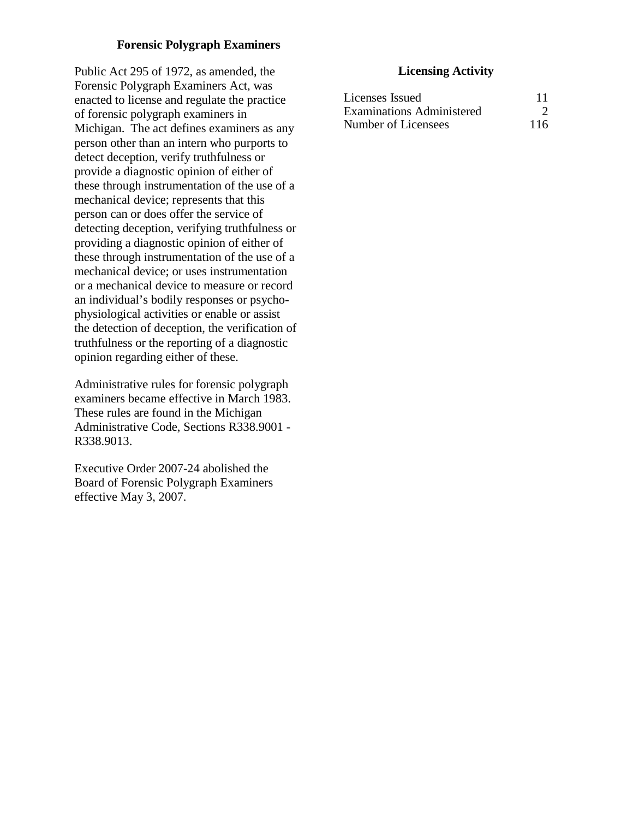## **Forensic Polygraph Examiners**

Public Act 295 of 1972, as amended, the Forensic Polygraph Examiners Act, was enacted to license and regulate the practice of forensic polygraph examiners in Michigan. The act defines examiners as any person other than an intern who purports to detect deception, verify truthfulness or provide a diagnostic opinion of either of these through instrumentation of the use of a mechanical device; represents that this person can or does offer the service of detecting deception, verifying truthfulness or providing a diagnostic opinion of either of these through instrumentation of the use of a mechanical device; or uses instrumentation or a mechanical device to measure or record an individual's bodily responses or psychophysiological activities or enable or assist the detection of deception, the verification of truthfulness or the reporting of a diagnostic opinion regarding either of these.

Administrative rules for forensic polygraph examiners became effective in March 1983. These rules are found in the Michigan Administrative Code, Sections R338.9001 - R338.9013.

Executive Order 2007-24 abolished the Board of Forensic Polygraph Examiners effective May 3, 2007.

| Licenses Issued                  |     |
|----------------------------------|-----|
| <b>Examinations Administered</b> |     |
| Number of Licensees              | 116 |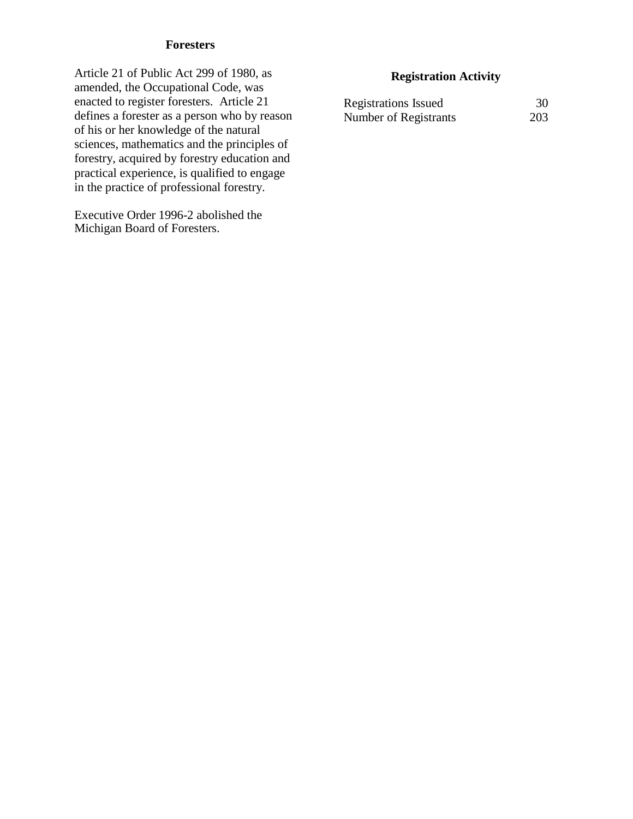## **Foresters**

Article 21 of Public Act 299 of 1980, as amended, the Occupational Code, was enacted to register foresters. Article 21 defines a forester as a person who by reason of his or her knowledge of the natural sciences, mathematics and the principles of forestry, acquired by forestry education and practical experience, is qualified to engage in the practice of professional forestry.

Executive Order 1996-2 abolished the Michigan Board of Foresters.

## **Registration Activity**

| <b>Registrations Issued</b> | 30  |
|-----------------------------|-----|
| Number of Registrants       | 203 |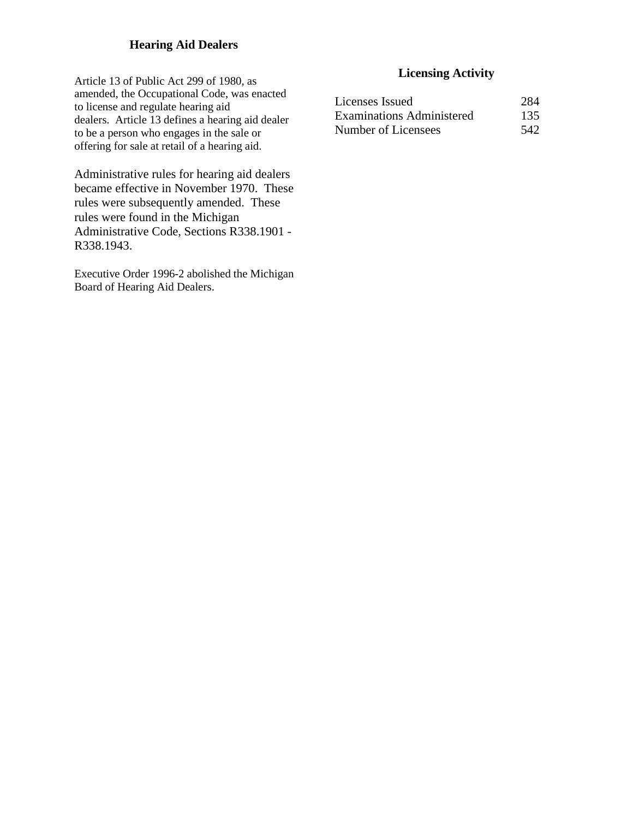## **Hearing Aid Dealers**

Article 13 of Public Act 299 of 1980, as amended, the Occupational Code, was enacted to license and regulate hearing aid dealers. Article 13 defines a hearing aid dealer to be a person who engages in the sale or offering for sale at retail of a hearing aid.

Administrative rules for hearing aid dealers became effective in November 1970. These rules were subsequently amended. These rules were found in the Michigan Administrative Code, Sections R338.1901 - R338.1943.

Executive Order 1996-2 abolished the Michigan Board of Hearing Aid Dealers.

| Licenses Issued           | 284 |
|---------------------------|-----|
| Examinations Administered | 135 |
| Number of Licensees       | 542 |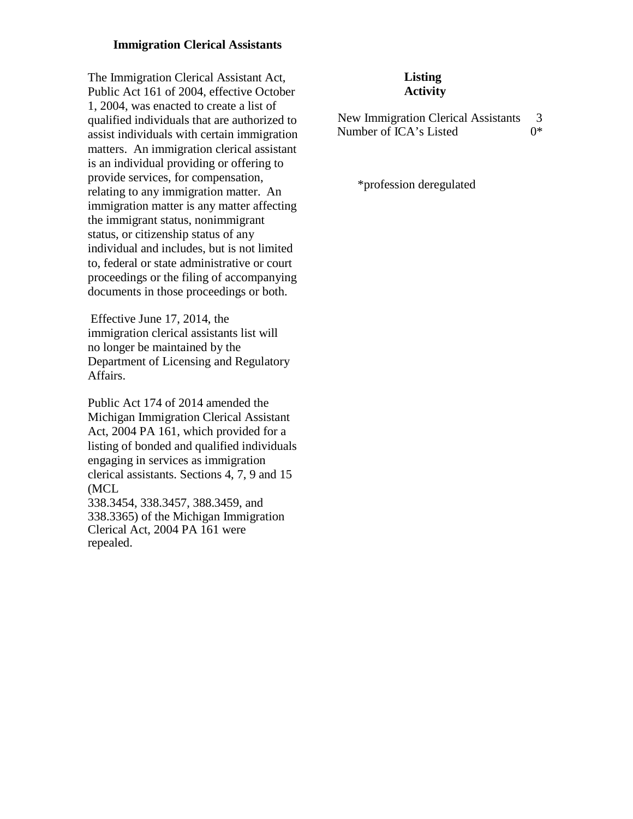#### **Immigration Clerical Assistants**

The Immigration Clerical Assistant Act[,](http://www.michiganlegislature.org/mileg.asp?page=getObject&objName=mcl-Act-161-of-2004&queryid=7725943&highlight) Public Act [161 of 2004, e](http://www.michiganlegislature.org/mileg.asp?page=getObject&objName=mcl-Act-161-of-2004&queryid=7725943&highlight)ffective October 1, 2004, was enacted to create a list of qualified individuals that are authorized to assist individuals with certain immigration matters. An immigration clerical assistant is an individual providing or offering to provide services, for compensation, relating to any immigration matter. An immigration matter is any matter affecting the immigrant status, nonimmigrant status, or citizenship status of any individual and includes, but is not limited to, federal or state administrative or court proceedings or the filing of accompanying documents in those proceedings or both.

Effective June 17, 2014, the immigration clerical assistants list will no longer be maintained by the Department of Licensing and Regulatory Affairs.

Public Act 174 of 2014 amended the Michigan Immigration Clerical Assistant Act, 2004 PA 161, which provided for a listing of bonded and qualified individuals engaging in services as immigration clerical assistants. Sections 4, 7, 9 and 15 (MCL

338.3454, 338.3457, 388.3459, and 338.3365) of the Michigan Immigration Clerical Act, 2004 PA 161 were repealed.

## **Listing Activity**

New Immigration Clerical Assistants 3<br>Number of ICA's Listed 0\* Number of ICA's Listed 0\*

\*profession deregulated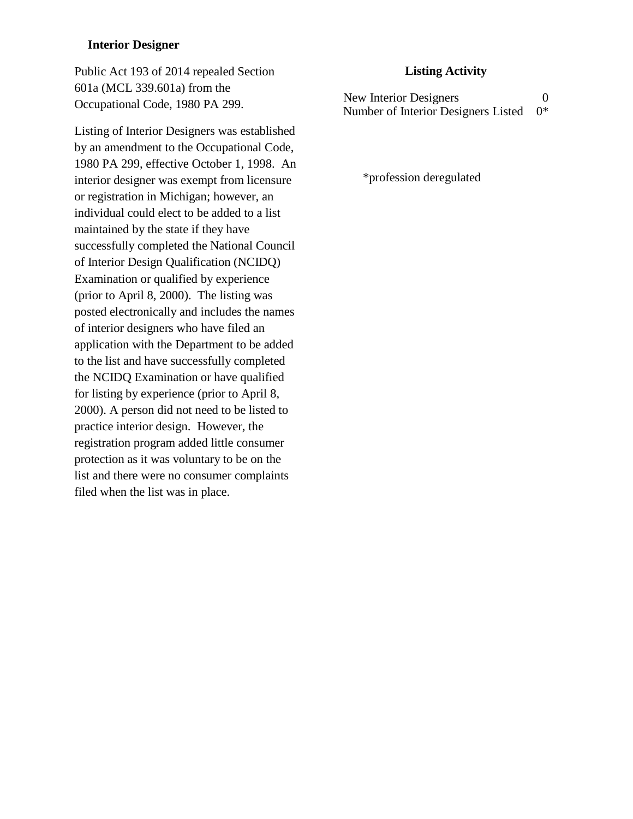#### **Interior Designer**

Public Act 193 of 2014 repealed Section 601a (MCL 339.601a) from the Occupational Code, 1980 PA 299.

Listing of Interior Designers was established by an amendment to the Occupational Code, 1980 PA 299, effective October 1, 1998. An interior designer was exempt from licensure or registration in Michigan; however, an individual could elect to be added to a list maintained by the state if they have successfully completed the National Council of Interior Design Qualification (NCIDQ) Examination or qualified by experience (prior to April 8, 2000). The listing was posted electronically and includes the names of interior designers who have filed an application with the Department to be added to the list and have successfully completed the NCIDQ Examination or have qualified for listing by experience (prior to April 8, 2000). A person did not need to be listed to practice interior design. However, the registration program added little consumer protection as it was voluntary to be on the list and there were no consumer complaints filed when the list was in place.

#### **Listing Activity**

New Interior Designers 0 Number of Interior Designers Listed 0\*

\*profession deregulated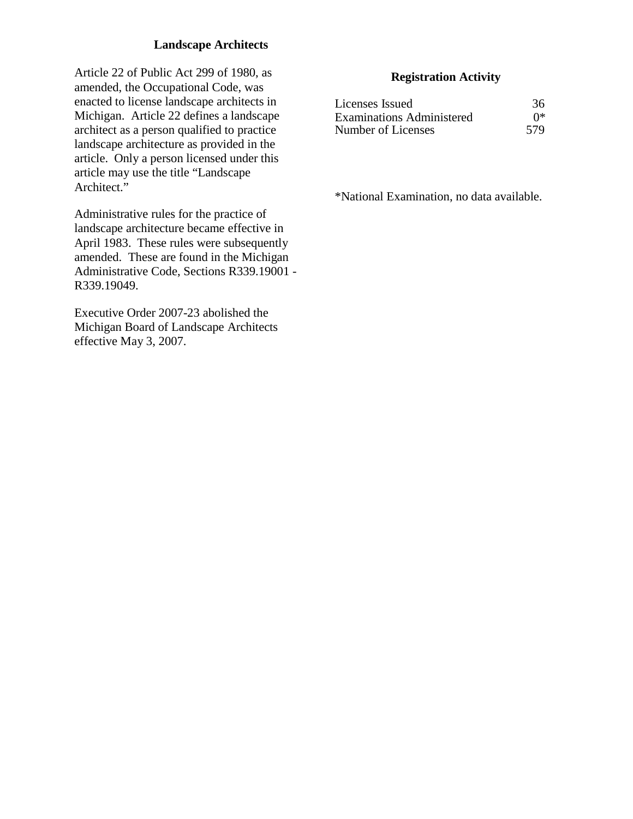## **Landscape Architects**

Article 22 of Public Act 299 of 1980, as amended, the Occupational Code, was enacted to license landscape architects in Michigan. Article 22 defines a landscape architect as a person qualified to practice landscape architecture as provided in the article. Only a person licensed under this article may use the title "Landscape Architect."

Administrative rules for the practice of landscape architecture became effective in April 1983. These rules were subsequently amended. These are found in the Michigan Administrative Code, Sections R339.19001 - R339.19049.

Executive Order 2007-23 abolished the Michigan Board of Landscape Architects effective May 3, 2007.

## **Registration Activity**

| Licenses Issued                  | 36  |
|----------------------------------|-----|
| <b>Examinations Administered</b> | ∩*  |
| Number of Licenses               | 579 |

\*National Examination, no data available.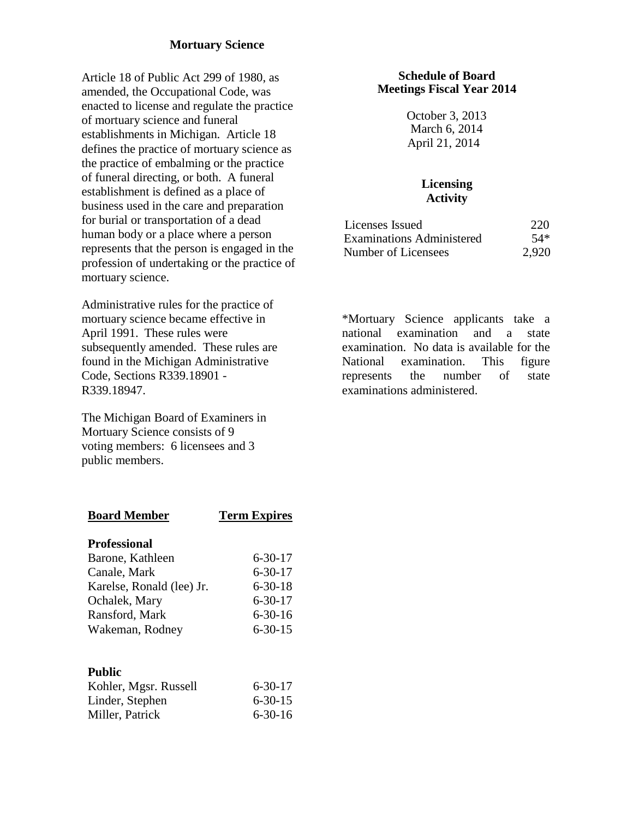## **Mortuary Science**

Article 18 of Public Act 299 of 1980, as amended, the Occupational Code, was enacted to license and regulate the practice of mortuary science and funeral establishments in Michigan. Article 18 defines the practice of mortuary science as the practice of embalming or the practice of funeral directing, or both. A funeral establishment is defined as a place of business used in the care and preparation for burial or transportation of a dead human body or a place where a person represents that the person is engaged in the profession of undertaking or the practice of mortuary science.

Administrative rules for the practice of mortuary science became effective in April 1991. These rules were subsequently amended. These rules are found in the Michigan Administrative Code, Sections R339.18901 - R339.18947.

The Michigan Board of Examiners in Mortuary Science consists of 9 voting members: 6 licensees and 3 public members.

#### **Schedule of Board Meetings Fiscal Year 2014**

October 3, 2013 March 6, 2014 April 21, 2014

## **Licensing Activity**

| Licenses Issued                  | 220   |
|----------------------------------|-------|
| <b>Examinations Administered</b> | 54*   |
| Number of Licensees              | 2,920 |

\*Mortuary Science applicants take a national examination and a state examination. No data is available for the National examination. This figure represents the number of state examinations administered.

| <b>Board Member</b>       | <b>Term Expires</b> |
|---------------------------|---------------------|
| <b>Professional</b>       |                     |
| Barone, Kathleen          | $6 - 30 - 17$       |
| Canale, Mark              | $6 - 30 - 17$       |
| Karelse, Ronald (lee) Jr. | $6 - 30 - 18$       |
| Ochalek, Mary             | $6 - 30 - 17$       |
| Ransford, Mark            | $6 - 30 - 16$       |
| Wakeman, Rodney           | $6 - 30 - 15$       |
|                           |                     |
| Public                    |                     |

| Kohler, Mgsr. Russell | $6 - 30 - 17$ |
|-----------------------|---------------|
| Linder, Stephen       | $6 - 30 - 15$ |
| Miller, Patrick       | $6 - 30 - 16$ |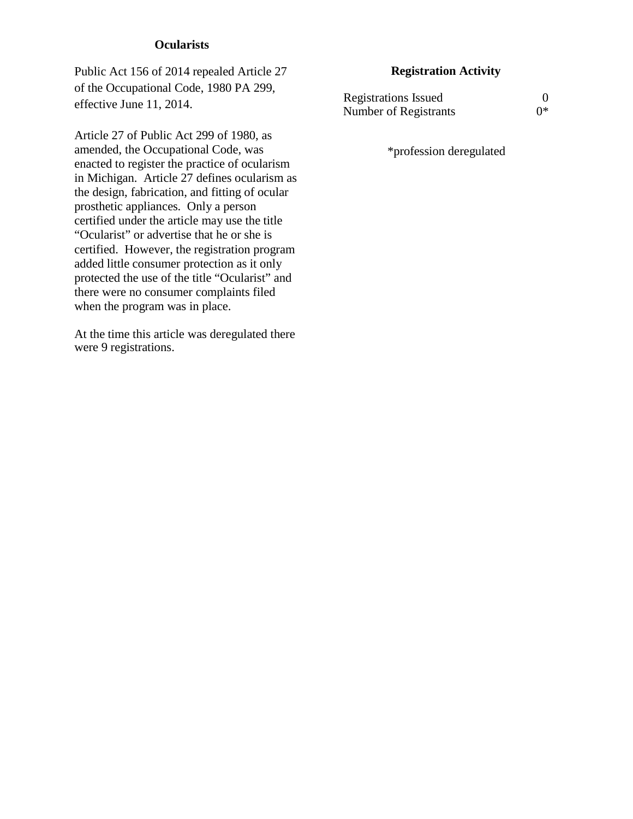#### **Ocularists**

Public Act 156 of 2014 repealed Article 27 of the Occupational Code, 1980 PA 299, effective June 11, 2014.

Article 27 of Public Act 299 of 1980, as amended, the Occupational Code, was enacted to register the practice of ocularism in Michigan. Article 27 defines ocularism as the design, fabrication, and fitting of ocular prosthetic appliances. Only a person certified under the article may use the title "Ocularist" or advertise that he or she is certified. However, the registration program added little consumer protection as it only protected the use of the title "Ocularist" and there were no consumer complaints filed when the program was in place.

At the time this article was deregulated there were 9 registrations.

## **Registration Activity**

| <b>Registrations Issued</b> |    |
|-----------------------------|----|
| Number of Registrants       | ∩* |

\*profession deregulated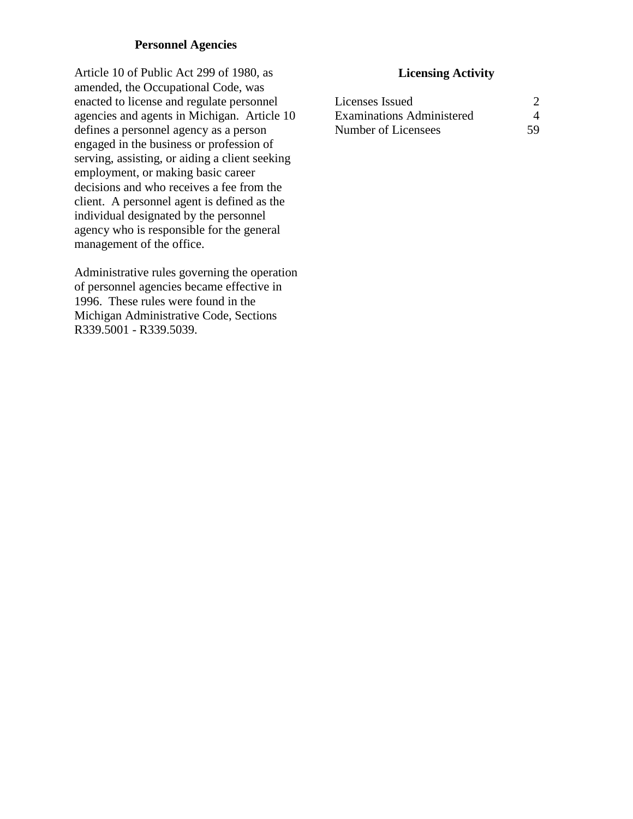## **Personnel Agencies**

Article 10 of Public Act 299 of 1980, as amended, the Occupational Code, was enacted to license and regulate personnel agencies and agents in Michigan. Article 10 defines a personnel agency as a person engaged in the business or profession of serving, assisting, or aiding a client seeking employment, or making basic career decisions and who receives a fee from the client. A personnel agent is defined as the individual designated by the personnel agency who is responsible for the general management of the office.

Administrative rules governing the operation of personnel agencies became effective in 1996. These rules were found in the Michigan Administrative Code, Sections R339.5001 - R339.5039.

| Licenses Issued                  |    |
|----------------------------------|----|
| <b>Examinations Administered</b> |    |
| Number of Licensees              | 59 |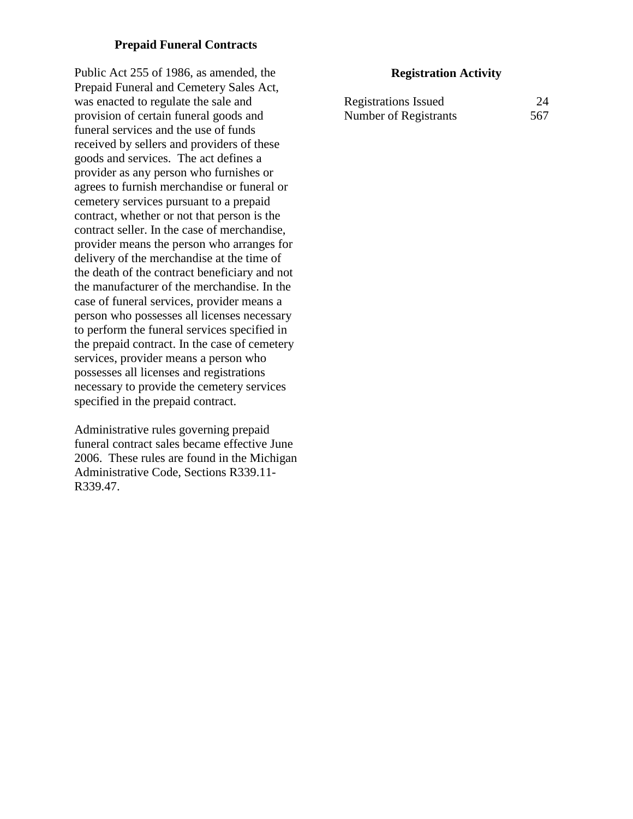## **Prepaid Funeral Contracts**

Public Act 255 of 1986, as amended, the Prepaid Funeral and Cemetery Sales Act, was enacted to regulate the sale and provision of certain funeral goods and funeral services and the use of funds received by sellers and providers of these goods and services. The act defines a provider as any person who furnishes or agrees to furnish merchandise or funeral or cemetery services pursuant to a prepaid contract, whether or not that person is the contract seller. In the case of merchandise, provider means the person who arranges for delivery of the merchandise at the time of the death of the contract beneficiary and not the manufacturer of the merchandise. In the case of funeral services, provider means a person who possesses all licenses necessary to perform the funeral services specified in the prepaid contract. In the case of cemetery services, provider means a person who possesses all licenses and registrations necessary to provide the cemetery services specified in the prepaid contract.

Administrative rules governing prepaid funeral contract sales became effective June 2006. These rules are found in the Michigan Administrative Code, Sections R339.11- R339.47.

#### **Registration Activity**

| <b>Registrations Issued</b> | 24  |
|-----------------------------|-----|
| Number of Registrants       | 567 |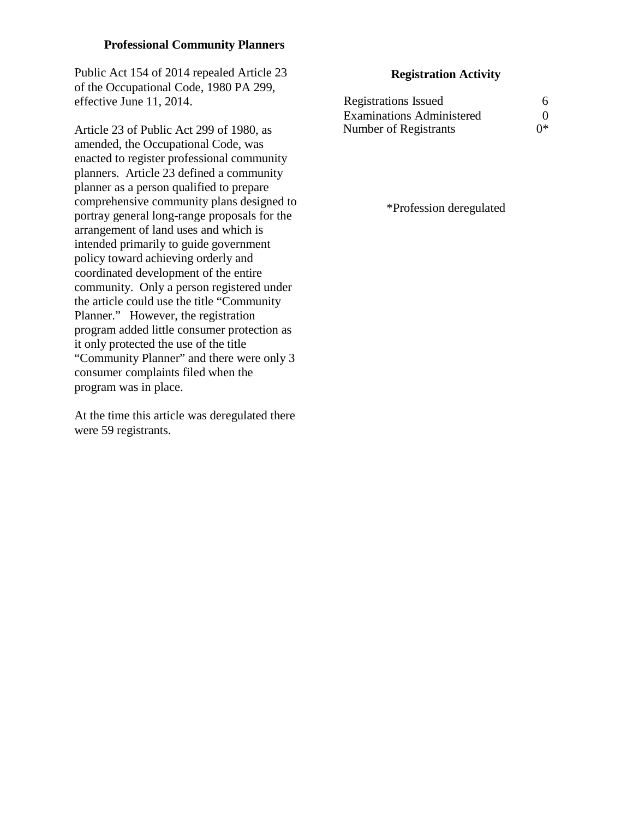## **Professional Community Planners**

Public Act 154 of 2014 repealed Article 23 of the Occupational Code, 1980 PA 299, effective June 11, 2014.

Article 23 of Public Act 299 of 1980, as amended, the Occupational Code, was enacted to register professional community planners. Article 23 defined a community planner as a person qualified to prepare comprehensive community plans designed to portray general long-range proposals for the arrangement of land uses and which is intended primarily to guide government policy toward achieving orderly and coordinated development of the entire community. Only a person registered under the article could use the title "Community Planner." However, the registration program added little consumer protection as it only protected the use of the title "Community Planner" and there were only 3 consumer complaints filed when the program was in place.

At the time this article was deregulated there were 59 registrants.

## **Registration Activity**

| <b>Registrations Issued</b>      | 6  |
|----------------------------------|----|
| <b>Examinations Administered</b> | 0  |
| Number of Registrants            | ∩∗ |

\*Profession deregulated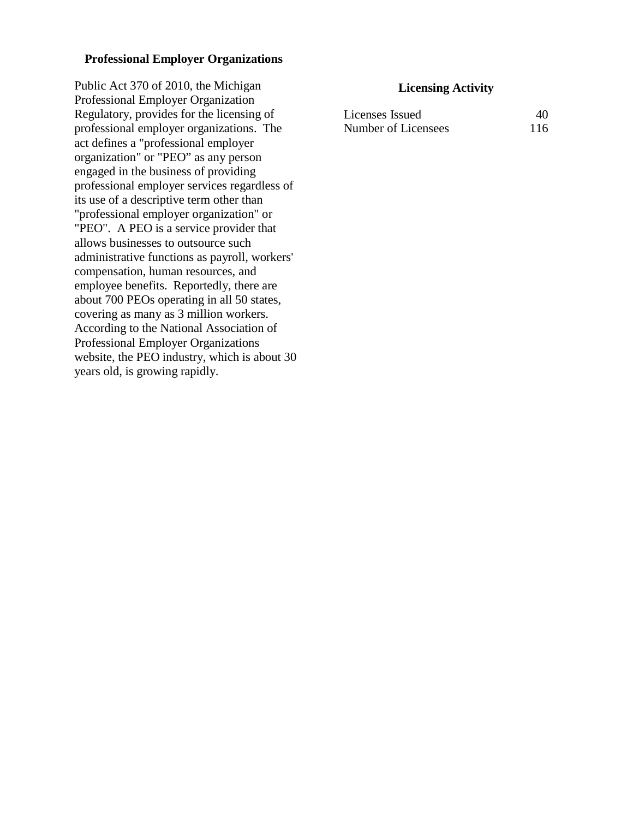#### **Professional Employer Organizations**

Public Act 370 of 2010, the Michigan Professional Employer Organization Regulatory, provides for the licensing of professional employer organizations. The act defines a "professional employer organization" or "PEO" as any person engaged in the business of providing professional employer services regardless of its use of a descriptive term other than "professional employer organization" or "PEO". A PEO is a service provider that allows businesses to outsource such administrative functions as payroll, workers' compensation, human resources, and employee benefits. Reportedly, there are about 700 PEOs operating in all 50 states, covering as many as 3 million workers. According to the National Association of Professional Employer Organizations website, the PEO industry, which is about 30 years old, is growing rapidly.

| Licenses Issued     | 40  |
|---------------------|-----|
| Number of Licensees | 116 |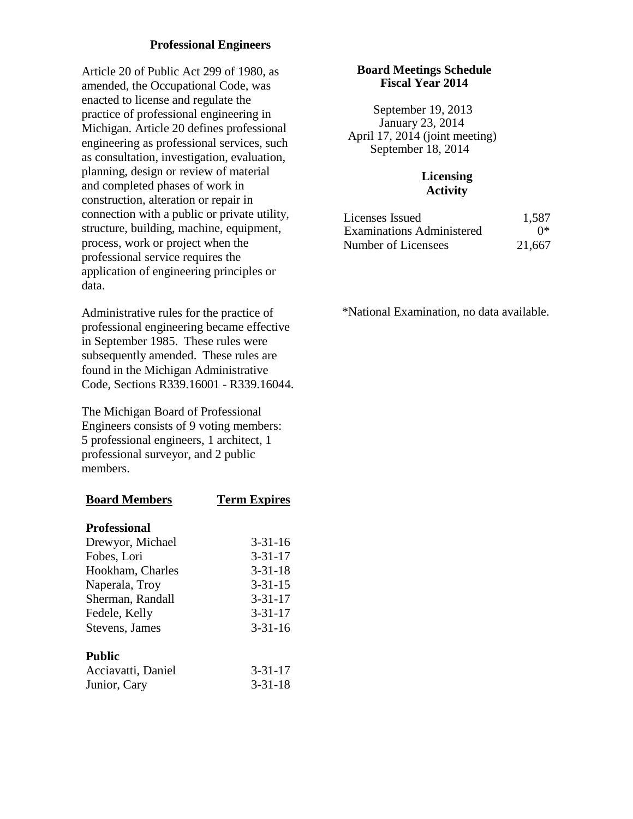## **Professional Engineers**

Article 20 of Public Act 299 of 1980, as amended, the Occupational Code, was enacted to license and regulate the practice of professional engineering in Michigan. Article 20 defines professional engineering as professional services, such as consultation, investigation, evaluation, planning, design or review of material and completed phases of work in construction, alteration or repair in connection with a public or private utility, structure, building, machine, equipment, process, work or project when the professional service requires the application of engineering principles or data.

Administrative rules for the practice of professional engineering became effective in September 1985. These rules were subsequently amended. These rules are found in the Michigan Administrative Code, Sections R339.16001 - R339.16044.

The Michigan Board of Professional Engineers consists of 9 voting members: 5 professional engineers, 1 architect, 1 professional surveyor, and 2 public members.

| <b>Board Members</b> | <b>Term Expires</b> |
|----------------------|---------------------|
| <b>Professional</b>  |                     |
| Drewyor, Michael     | $3 - 31 - 16$       |
| Fobes, Lori          | $3 - 31 - 17$       |
| Hookham, Charles     | $3 - 31 - 18$       |
| Naperala, Troy       | $3 - 31 - 15$       |
| Sherman, Randall     | $3 - 31 - 17$       |
| Fedele, Kelly        | $3 - 31 - 17$       |
| Stevens, James       | $3 - 31 - 16$       |
| <b>Public</b>        |                     |
| Acciavatti, Daniel   | $3 - 31 - 17$       |
| Junior, Cary         | 3-31-18             |

#### **Board Meetings Schedule Fiscal Year 2014**

 September 19, 2013 January 23, 2014 April 17, 2014 (joint meeting) September 18, 2014

## **Licensing Activity**

| Licenses Issued                  | 1,587  |
|----------------------------------|--------|
| <b>Examinations Administered</b> | ∩∗     |
| Number of Licensees              | 21,667 |

\*National Examination, no data available.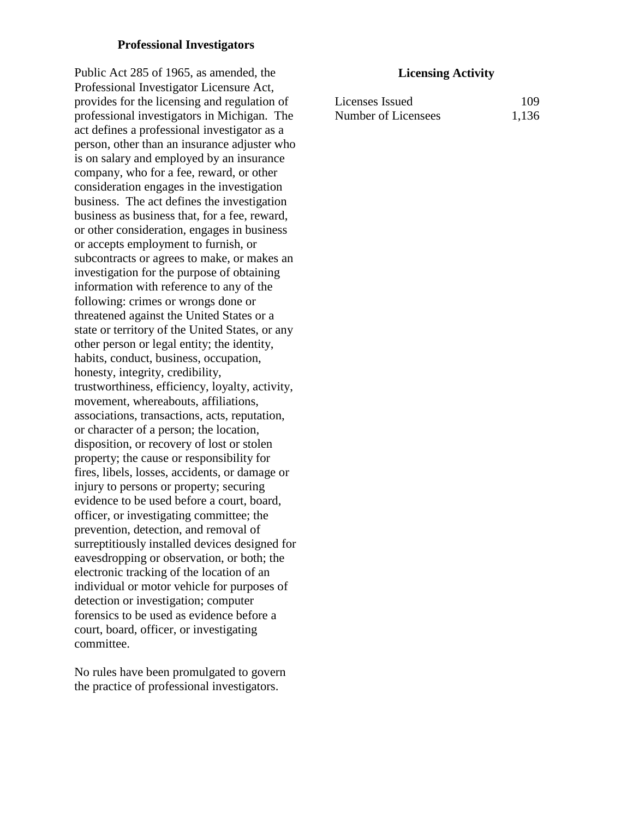#### **Professional Investigators**

Public Act 285 of 1965, as amended, the Professional Investigator Licensure Act, provides for the licensing and regulation of professional investigators in Michigan. The act defines a professional investigator as a person, other than an insurance adjuster who is on salary and employed by an insurance company, who for a fee, reward, or other consideration engages in the investigation business. The act defines the investigation business as business that, for a fee, reward, or other consideration, engages in business or accepts employment to furnish, or subcontracts or agrees to make, or makes an investigation for the purpose of obtaining information with reference to any of the following: crimes or wrongs done or threatened against the United States or a state or territory of the United States, or any other person or legal entity; the identity, habits, conduct, business, occupation, honesty, integrity, credibility, trustworthiness, efficiency, loyalty, activity, movement, whereabouts, affiliations, associations, transactions, acts, reputation, or character of a person; the location, disposition, or recovery of lost or stolen property; the cause or responsibility for fires, libels, losses, accidents, or damage or injury to persons or property; securing evidence to be used before a court, board, officer, or investigating committee; the prevention, detection, and removal of surreptitiously installed devices designed for eavesdropping or observation, or both; the electronic tracking of the location of an individual or motor vehicle for purposes of detection or investigation; computer forensics to be used as evidence before a court, board, officer, or investigating committee.

No rules have been promulgated to govern the practice of professional investigators.

| Licenses Issued     | 109   |
|---------------------|-------|
| Number of Licensees | 1,136 |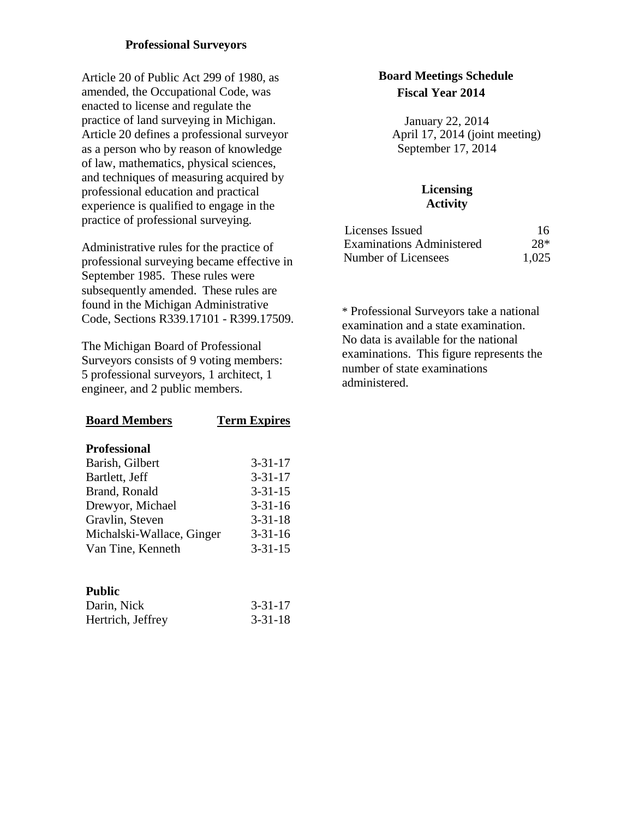## **Professional Surveyors**

Article 20 of Public Act 299 of 1980, as amended, the Occupational Code, was enacted to license and regulate the practice of land surveying in Michigan. Article 20 defines a professional surveyor as a person who by reason of knowledge of law, mathematics, physical sciences, and techniques of measuring acquired by professional education and practical experience is qualified to engage in the practice of professional surveying.

Administrative rules for the practice of professional surveying became effective in September 1985. These rules were subsequently amended. These rules are found in the Michigan Administrative Code, Sections R339.17101 - R399.17509.

The Michigan Board of Professional Surveyors consists of 9 voting members: 5 professional surveyors, 1 architect, 1 engineer, and 2 public members.

| <b>Board Members</b>      | <b>Term Expires</b> |
|---------------------------|---------------------|
| <b>Professional</b>       |                     |
| Barish, Gilbert           | $3 - 31 - 17$       |
| Bartlett, Jeff            | $3 - 31 - 17$       |
| Brand, Ronald             | $3 - 31 - 15$       |
| Drewyor, Michael          | $3 - 31 - 16$       |
| Gravlin, Steven           | $3 - 31 - 18$       |
| Michalski-Wallace, Ginger | $3 - 31 - 16$       |
| Van Tine, Kenneth         | $3 - 31 - 15$       |
|                           |                     |
|                           |                     |

## **Public**

| Darin, Nick       | $3 - 31 - 17$ |
|-------------------|---------------|
| Hertrich, Jeffrey | $3 - 31 - 18$ |

## **Board Meetings Schedule Fiscal Year 2014**

January 22, 2014 April 17, 2014 (joint meeting) September 17, 2014

## **Licensing Activity**

| Licenses Issued                  | 16    |
|----------------------------------|-------|
| <b>Examinations Administered</b> | $28*$ |
| Number of Licensees              | 1,025 |

\* Professional Surveyors take a national examination and a state examination. No data is available for the national examinations. This figure represents the number of state examinations administered.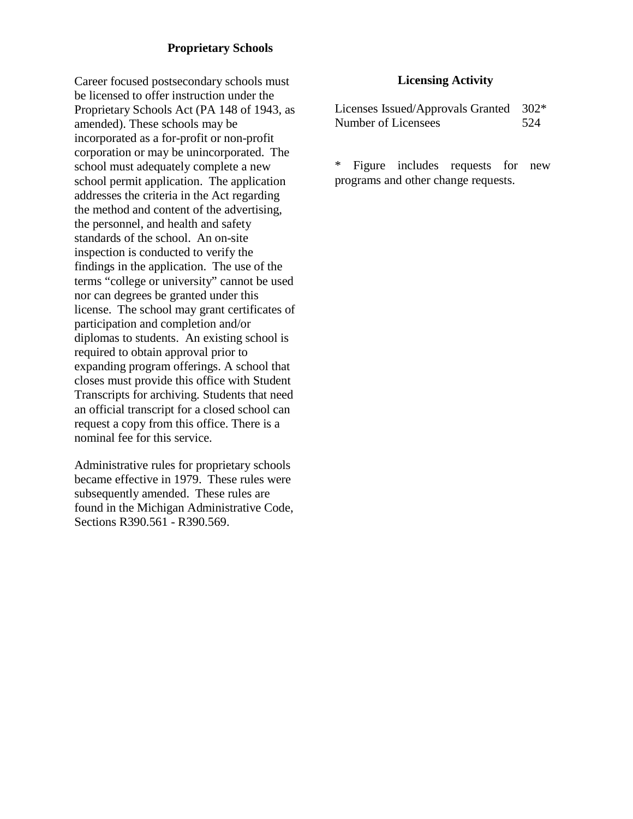## **Proprietary Schools**

Career focused postsecondary schools must be licensed to offer instruction under the Proprietary Schools Act (PA 148 of 1943, as amended). These schools may be incorporated as a for-profit or non-profit corporation or may be unincorporated. The school must adequately complete a new school permit application. The application addresses the criteria in the Act regarding the method and content of the advertising, the personnel, and health and safety standards of the school. An on-site inspection is conducted to verify the findings in the application. The use of the terms "college or university" cannot be used nor can degrees be granted under this license. The school may grant certificates of participation and completion and/or diplomas to students. An existing school is required to obtain approval prior to expanding program offerings. A school that closes must provide this office with Student Transcripts for archiving. Students that need an official transcript for a closed school can request a copy from this office. There is a nominal fee for this service.

Administrative rules for proprietary schools became effective in 1979. These rules were subsequently amended. These rules are found in the Michigan Administrative Code, Sections R390.561 - R390.569.

#### **Licensing Activity**

Licenses Issued/Approvals Granted 302\* Number of Licensees 524

\* Figure includes requests for new programs and other change requests.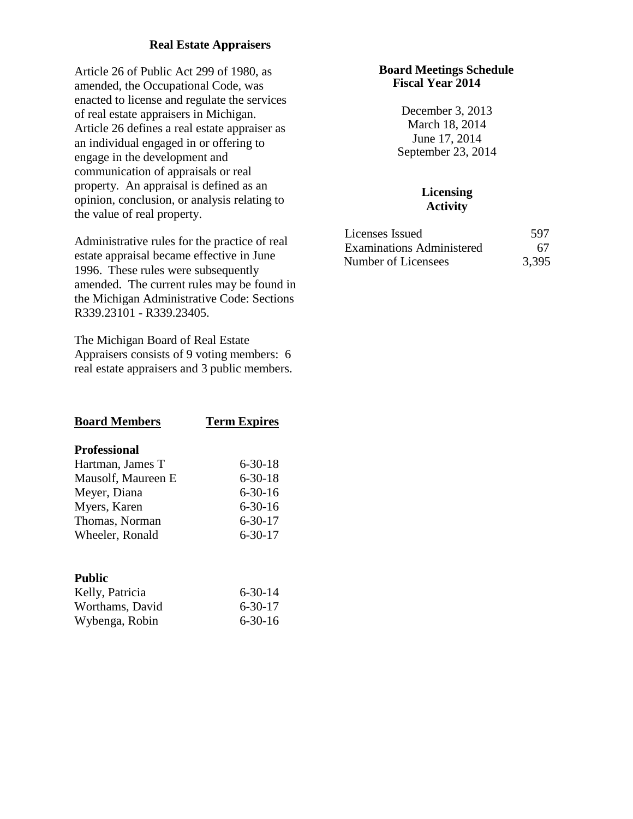## **Real Estate Appraisers**

Article 26 of Public Act 299 of 1980, as amended, the Occupational Code, was enacted to license and regulate the services of real estate appraisers in Michigan. Article 26 defines a real estate appraiser as an individual engaged in or offering to engage in the development and communication of appraisals or real property. An appraisal is defined as an opinion, conclusion, or analysis relating to the value of real property.

Administrative rules for the practice of real estate appraisal became effective in June 1996. These rules were subsequently amended. The current rules may be found in the Michigan Administrative Code: Sections R339.23101 - R339.23405.

The Michigan Board of Real Estate Appraisers consists of 9 voting members: 6 real estate appraisers and 3 public members.

| <b>Board Members</b> | <b>Term Expires</b> |
|----------------------|---------------------|
| <b>Professional</b>  |                     |
| Hartman, James T     | 6-30-18             |
| Mausolf, Maureen E   | $6 - 30 - 18$       |
| Meyer, Diana         | 6-30-16             |
| Myers, Karen         | 6-30-16             |
| Thomas, Norman       | $6 - 30 - 17$       |
| Wheeler, Ronald      | 6-30-17             |
| <b>Public</b>        |                     |
| Kelly, Patricia      | 6-30-14             |
| Worthams, David      | $6 - 30 - 17$       |

Wybenga, Robin 6-30-16

#### **Board Meetings Schedule Fiscal Year 2014**

December 3, 2013 March 18, 2014 June 17, 2014 September 23, 2014

| Licenses Issued                  | 597   |
|----------------------------------|-------|
| <b>Examinations Administered</b> | 67    |
| Number of Licensees              | 3,395 |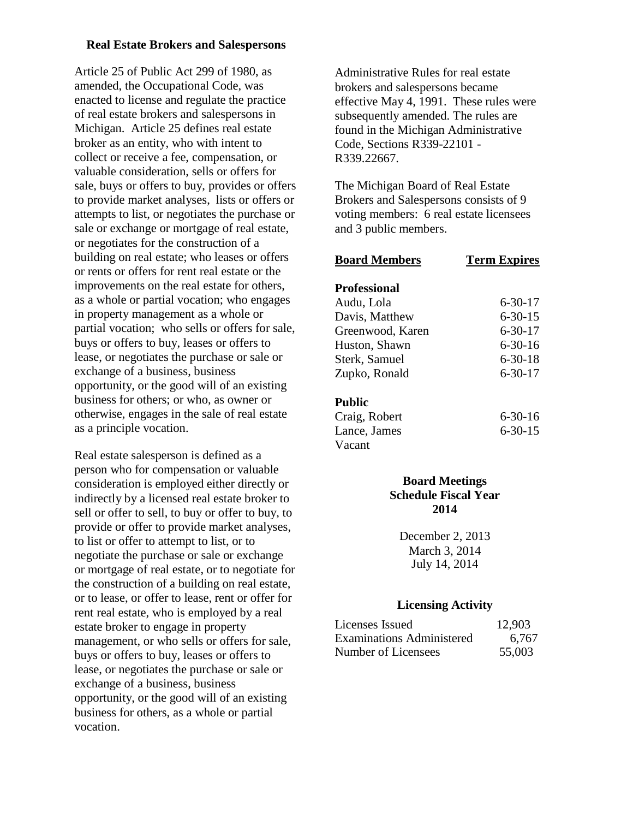#### **Real Estate Brokers and Salespersons**

Article 25 of Public Act 299 of 1980, as amended, the Occupational Code, was enacted to license and regulate the practice of real estate brokers and salespersons in Michigan. Article 25 defines real estate broker as an entity, who with intent to collect or receive a fee, compensation, or valuable consideration, sells or offers for sale, buys or offers to buy, provides or offers to provide market analyses, lists or offers or attempts to list, or negotiates the purchase or sale or exchange or mortgage of real estate, or negotiates for the construction of a building on real estate; who leases or offers or rents or offers for rent real estate or the improvements on the real estate for others, as a whole or partial vocation; who engages in property management as a whole or partial vocation; who sells or offers for sale, buys or offers to buy, leases or offers to lease, or negotiates the purchase or sale or exchange of a business, business opportunity, or the good will of an existing business for others; or who, as owner or otherwise, engages in the sale of real estate as a principle vocation.

Real estate salesperson is defined as a person who for compensation or valuable consideration is employed either directly or indirectly by a licensed real estate broker to sell or offer to sell, to buy or offer to buy, to provide or offer to provide market analyses, to list or offer to attempt to list, or to negotiate the purchase or sale or exchange or mortgage of real estate, or to negotiate for the construction of a building on real estate, or to lease, or offer to lease, rent or offer for rent real estate, who is employed by a real estate broker to engage in property management, or who sells or offers for sale, buys or offers to buy, leases or offers to lease, or negotiates the purchase or sale or exchange of a business, business opportunity, or the good will of an existing business for others, as a whole or partial vocation.

Administrative Rules for real estate brokers and salespersons became effective May 4, 1991. These rules were subsequently amended. The rules are found in the Michigan Administrative Code, Sections R339-22101 - R339.22667.

The Michigan Board of Real Estate Brokers and Salespersons consists of 9 voting members: 6 real estate licensees and 3 public members.

| <b>Term Expires</b> |
|---------------------|
|                     |
| $6 - 30 - 17$       |
| $6 - 30 - 15$       |
| $6 - 30 - 17$       |
| 6-30-16             |
| $6 - 30 - 18$       |
| $6 - 30 - 17$       |
|                     |
| $6 - 30 - 16$       |
| 6-30-15             |
|                     |
|                     |

## **Board Meetings Schedule Fiscal Year 2014**

December 2, 2013 March 3, 2014 July 14, 2014

| Licenses Issued                  | 12,903 |
|----------------------------------|--------|
| <b>Examinations Administered</b> | 6.767  |
| Number of Licensees              | 55,003 |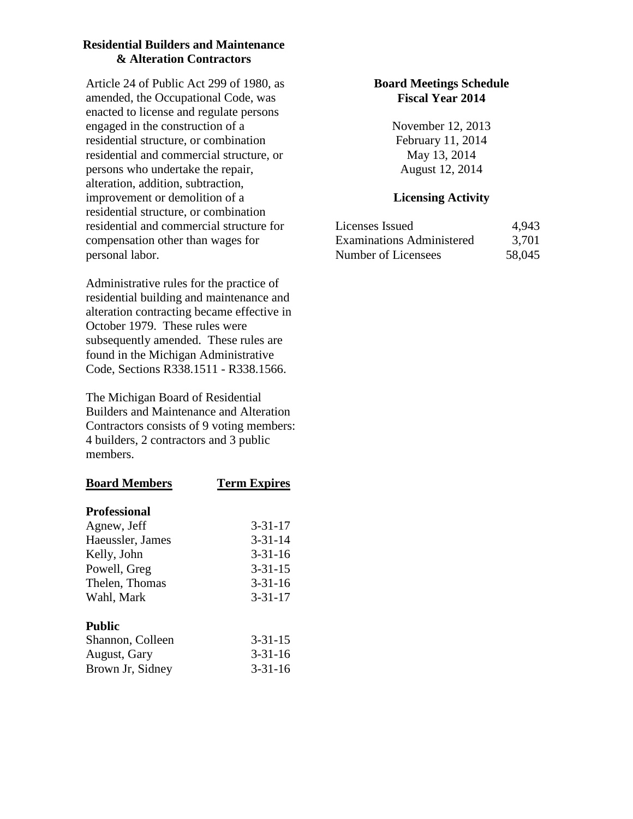## **Residential Builders and Maintenance & Alteration Contractors**

Article 24 of Public Act 299 of 1980, as amended, the Occupational Code, was enacted to license and regulate persons engaged in the construction of a residential structure, or combination residential and commercial structure, or persons who undertake the repair, alteration, addition, subtraction, improvement or demolition of a residential structure, or combination residential and commercial structure for compensation other than wages for personal labor.

Administrative rules for the practice of residential building and maintenance and alteration contracting became effective in October 1979. These rules were subsequently amended. These rules are found in the Michigan Administrative Code, Sections R338.1511 - R338.1566.

The Michigan Board of Residential Builders and Maintenance and Alteration Contractors consists of 9 voting members: 4 builders, 2 contractors and 3 public members.

| <b>Board Members</b> | <b>Term Expires</b> |
|----------------------|---------------------|
| <b>Professional</b>  |                     |
| Agnew, Jeff          | $3 - 31 - 17$       |
| Haeussler, James     | $3 - 31 - 14$       |
| Kelly, John          | $3 - 31 - 16$       |
| Powell, Greg         | $3 - 31 - 15$       |
| Thelen, Thomas       | $3 - 31 - 16$       |
| Wahl, Mark           | $3 - 31 - 17$       |
| <b>Public</b>        |                     |
| Shannon, Colleen     | $3 - 31 - 15$       |
| August, Gary         | $3 - 31 - 16$       |
| Brown Jr, Sidney     | $3 - 31 - 16$       |

## **Board Meetings Schedule Fiscal Year 2014**

November 12, 2013 February 11, 2014 May 13, 2014 August 12, 2014

| Licenses Issued                  | 4,943  |
|----------------------------------|--------|
| <b>Examinations Administered</b> | 3,701  |
| Number of Licensees              | 58,045 |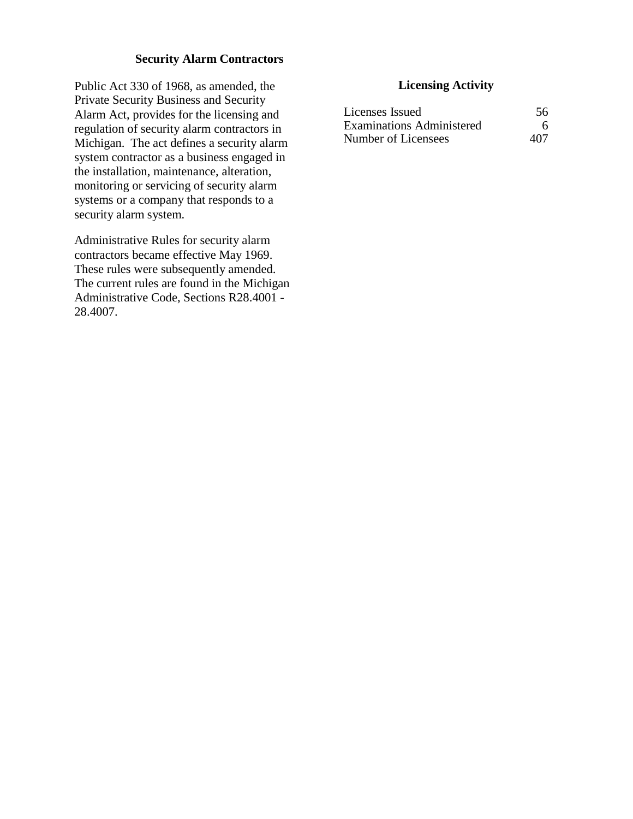## **Security Alarm Contractors**

Public Act 330 of 1968, as amended, the Private Security Business and Security Alarm Act, provides for the licensing and regulation of security alarm contractors in Michigan. The act defines a security alarm system contractor as a business engaged in the installation, maintenance, alteration, monitoring or servicing of security alarm systems or a company that responds to a security alarm system.

Administrative Rules for security alarm contractors became effective May 1969. These rules were subsequently amended. The current rules are found in the Michigan Administrative Code, Sections R28.4001 - 28.4007.

| Licenses Issued                  | 56  |
|----------------------------------|-----|
| <b>Examinations Administered</b> | 6   |
| Number of Licensees              | 407 |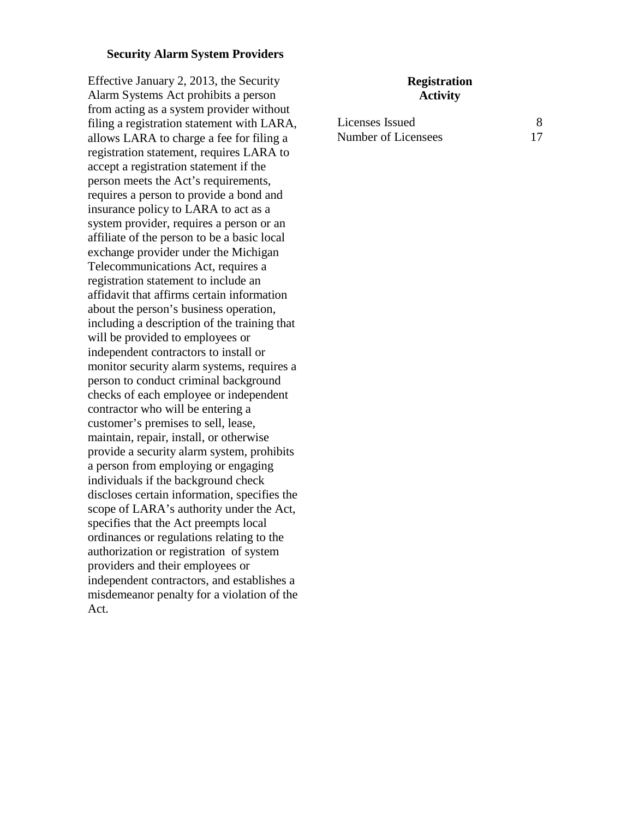#### **Security Alarm System Providers**

Effective January 2, 2013, the Security Alarm Systems Act prohibits a person from acting as a system provider without filing a registration statement with LARA, allows LARA to charge a fee for filing a registration statement, requires LARA to accept a registration statement if the person meets the Act's requirements, requires a person to provide a bond and insurance policy to LARA to act as a system provider, requires a person or an affiliate of the person to be a basic local exchange provider under the Michigan Telecommunications Act, requires a registration statement to include an affidavit that affirms certain information about the person's business operation, including a description of the training that will be provided to employees or independent contractors to install or monitor security alarm systems, requires a person to conduct criminal background checks of each employee or independent contractor who will be entering a customer's premises to sell, lease, maintain, repair, install, or otherwise provide a security alarm system, prohibits a person from employing or engaging individuals if the background check discloses certain information, specifies the scope of LARA's authority under the Act, specifies that the Act preempts local ordinances or regulations relating to the authorization or registration of system providers and their employees or independent contractors, and establishes a misdemeanor penalty for a violation of the Act.

#### **Registration Activity**

| Licenses Issued     |  |
|---------------------|--|
| Number of Licensees |  |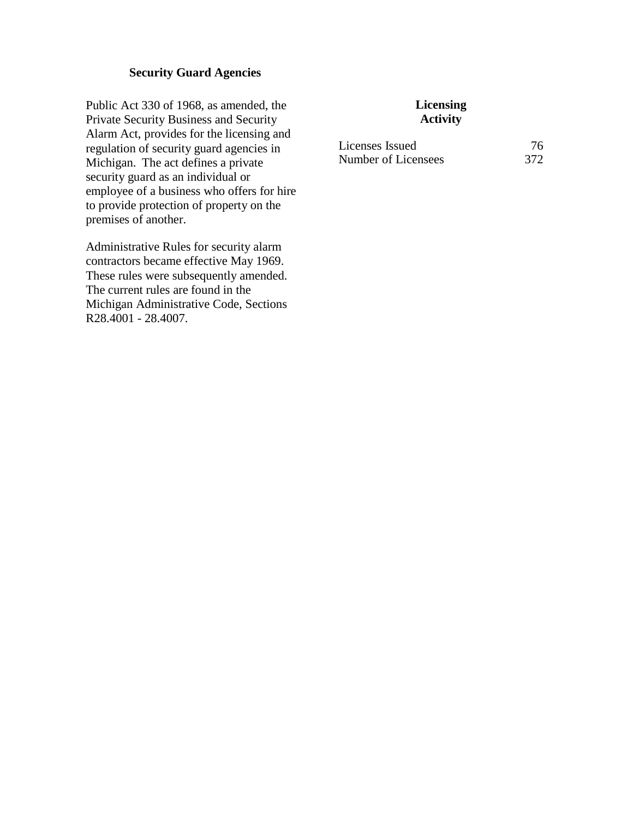## **Security Guard Agencies**

Public Act 330 of 1968, as amended, the Private Security Business and Security Alarm Act, provides for the licensing and regulation of security guard agencies in Michigan. The act defines a private security guard as an individual or employee of a business who offers for hire to provide protection of property on the premises of another.

Administrative Rules for security alarm contractors became effective May 1969. These rules were subsequently amended. The current rules are found in the Michigan Administrative Code, Sections R28.4001 - 28.4007.

| Licenses Issued     | 76  |
|---------------------|-----|
| Number of Licensees | 372 |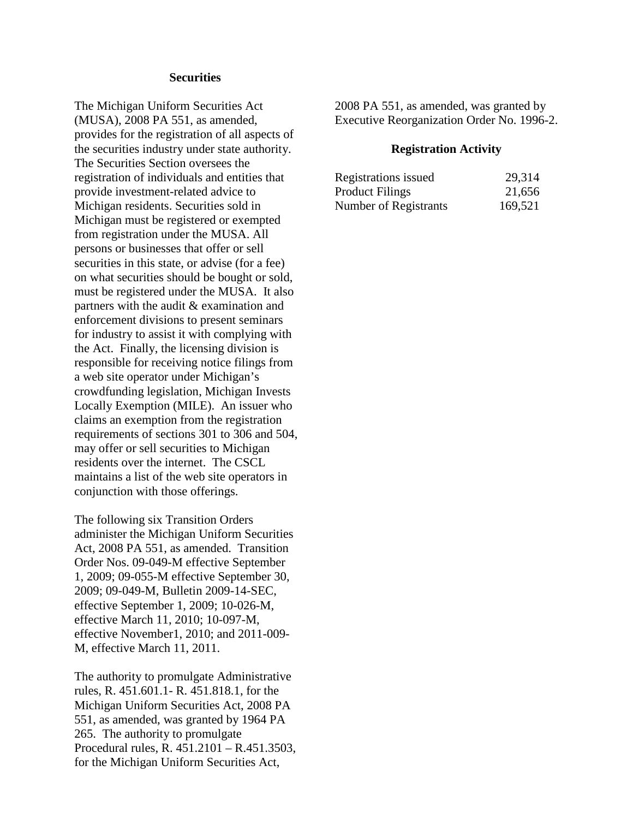#### **Securities**

The Michigan Uniform Securities Act (MUSA), 2008 PA 551, as amended, provides for the registration of all aspects of the securities industry under state authority. The Securities Section oversees the registration of individuals and entities that provide investment-related advice to Michigan residents. Securities sold in Michigan must be registered or exempted from registration under the MUSA. All persons or businesses that offer or sell securities in this state, or advise (for a fee) on what securities should be bought or sold, must be registered under the MUSA. It also partners with the audit & examination and enforcement divisions to present seminars for industry to assist it with complying with the Act. Finally, the licensing division is responsible for receiving notice filings from a web site operator under Michigan's crowdfunding legislation, Michigan Invests Locally Exemption (MILE). An issuer who claims an exemption from the registration requirements of sections 301 to 306 and 504, may offer or sell securities to Michigan residents over the internet. The CSCL maintains a list of the web site operators in conjunction with those offerings.

The following six Transition Orders administer the Michigan Uniform Securities Act, 2008 PA 551, as amended. Transition Order Nos. 09-049-M effective September 1, 2009; 09-055-M effective September 30, 2009; 09-049-M, Bulletin 2009-14-SEC, effective September 1, 2009; 10-026-M, effective March 11, 2010; 10-097-M, effective November1, 2010; and 2011-009- M, effective March 11, 2011.

The authority to promulgate Administrative rules, R. 451.601.1- R. 451.818.1, for the Michigan Uniform Securities Act, 2008 PA 551, as amended, was granted by 1964 PA 265. The authority to promulgate Procedural rules, R. 451.2101 – R.451.3503, for the Michigan Uniform Securities Act,

2008 PA 551, as amended, was granted by Executive Reorganization Order No. 1996-2.

#### **Registration Activity**

| Registrations issued   | 29,314  |
|------------------------|---------|
| <b>Product Filings</b> | 21,656  |
| Number of Registrants  | 169,521 |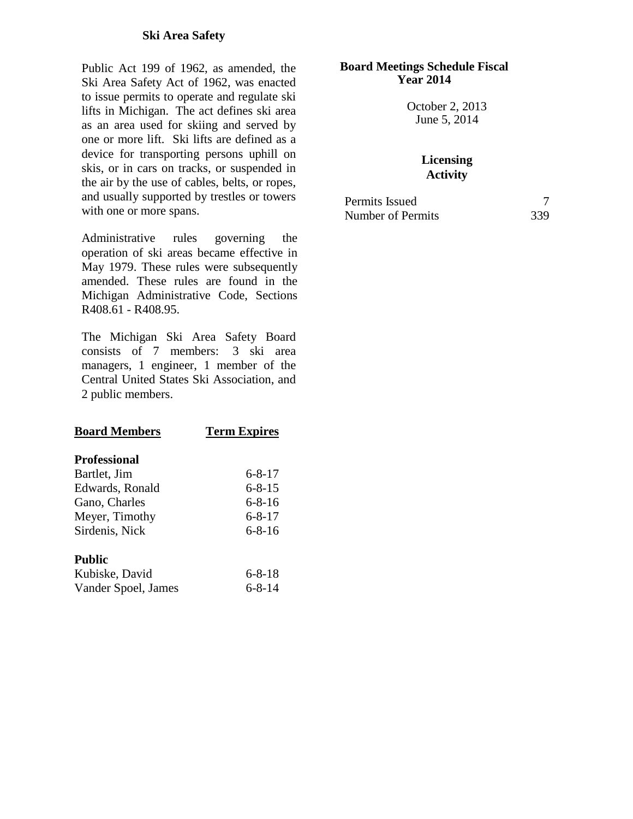## **Ski Area Safety**

Public Act 199 of 1962, as amended, the Ski Area Safety Act of 1962, was enacted to issue permits to operate and regulate ski lifts in Michigan. The act defines ski area as an area used for skiing and served by one or more lift. Ski lifts are defined as a device for transporting persons uphill on skis, or in cars on tracks, or suspended in the air by the use of cables, belts, or ropes, and usually supported by trestles or towers with one or more spans.

Administrative rules governing the operation of ski areas became effective in May 1979. These rules were subsequently amended. These rules are found in the Michigan Administrative Code, Sections R408.61 - R408.95.

The Michigan Ski Area Safety Board consists of 7 members: 3 ski area managers, 1 engineer, 1 member of the Central United States Ski Association, and 2 public members.

| <b>Board Members</b> | <b>Term Expires</b> |
|----------------------|---------------------|
| <b>Professional</b>  |                     |
| Bartlet, Jim         | $6 - 8 - 17$        |
| Edwards, Ronald      | $6 - 8 - 15$        |
| Gano, Charles        | $6 - 8 - 16$        |
| Meyer, Timothy       | $6 - 8 - 17$        |
| Sirdenis, Nick       | $6 - 8 - 16$        |
| Public               |                     |
| Kubiske, David       | $6 - 8 - 18$        |
| Vander Spoel, James  | $6 - 8 - 14$        |

#### **Board Meetings Schedule Fiscal Year 2014**

October 2, 2013 June 5, 2014

| Permits Issued    |     |
|-------------------|-----|
| Number of Permits | 339 |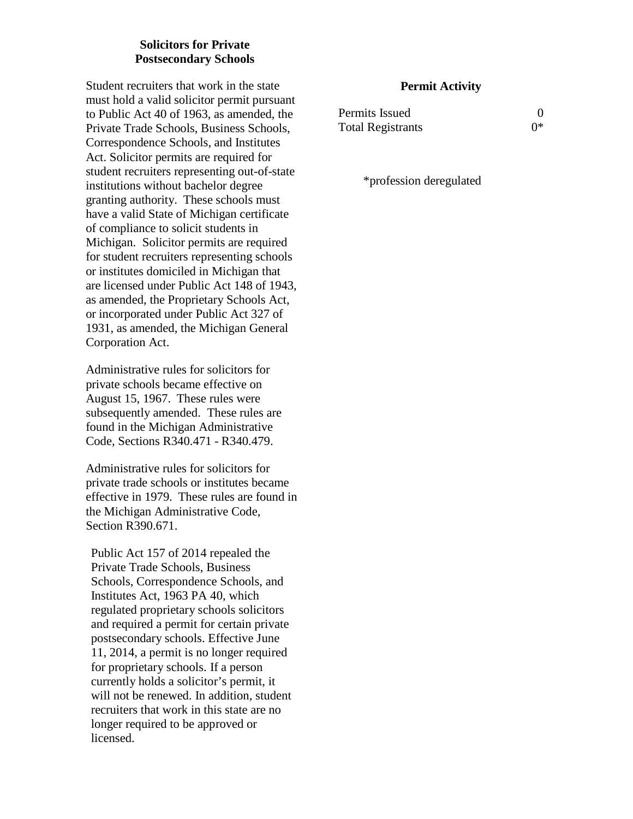## **Solicitors for Private Postsecondary Schools**

Student recruiters that work in the state must hold a valid solicitor permit pursuant to Public Act 40 of 1963, as amended, the Private Trade Schools, Business Schools, Correspondence Schools, and Institutes Act. Solicitor permits are required for student recruiters representing out-of-state institutions without bachelor degree granting authority. These schools must have a valid State of Michigan certificate of compliance to solicit students in Michigan. Solicitor permits are required for student recruiters representing schools or institutes domiciled in Michigan that are licensed under Public Act 148 of 1943, as amended, the Proprietary Schools Act, or incorporated under Public Act 327 of 1931, as amended, the Michigan General Corporation Act.

Administrative rules for solicitors for private schools became effective on August 15, 1967. These rules were subsequently amended. These rules are found in the Michigan Administrative Code, Sections R340.471 - R340.479.

Administrative rules for solicitors for private trade schools or institutes became effective in 1979. These rules are found in the Michigan Administrative Code, Section R390.671.

Public Act 157 of 2014 repealed the Private Trade Schools, Business Schools, Correspondence Schools, and Institutes Act, 1963 PA 40, which regulated proprietary schools solicitors and required a permit for certain private postsecondary schools. Effective June 11, 2014, a permit is no longer required for proprietary schools. If a person currently holds a solicitor's permit, it will not be renewed. In addition, student recruiters that work in this state are no longer required to be approved or licensed.

## **Permit Activity**

| Permits Issued           |    |
|--------------------------|----|
| <b>Total Registrants</b> | ∩* |

\*profession deregulated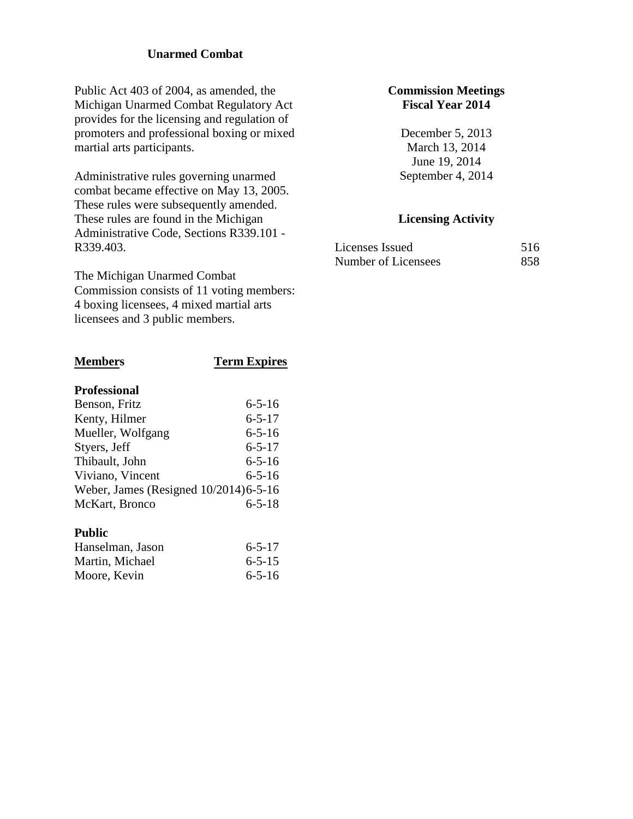## **Unarmed Combat**

Public Act 403 of 2004, as amended, the Michigan Unarmed Combat Regulatory Act provides for the licensing and regulation of promoters and professional boxing or mixed martial arts participants.

Administrative rules governing unarmed combat became effective on May 13, 2005. These rules were subsequently amended. These rules are found in the Michigan Administrative Code, Sections R339.101 - R339.403.

The Michigan Unarmed Combat Commission consists of 11 voting members: 4 boxing licensees, 4 mixed martial arts licensees and 3 public members.

# **Members Term Expires Professional** Benson, Fritz 6-5-16 Kenty, Hilmer 6-5-17 Mueller, Wolfgang 6-5-16 Styers, Jeff  $6-5-17$ Thibault, John 6-5-16 Viviano, Vincent 6-5-16 Weber, James (Resigned 10/2014)6-5-16 McKart, Bronco 6-5-18 **Public**

| Hanselman, Jason | $6 - 5 - 17$ |
|------------------|--------------|
| Martin, Michael  | $6 - 5 - 15$ |
| Moore, Kevin     | $6 - 5 - 16$ |

## **Commission Meetings Fiscal Year 2014**

December 5, 2013 March 13, 2014 June 19, 2014 September 4, 2014

| Licenses Issued     | 516 |
|---------------------|-----|
| Number of Licensees | 858 |